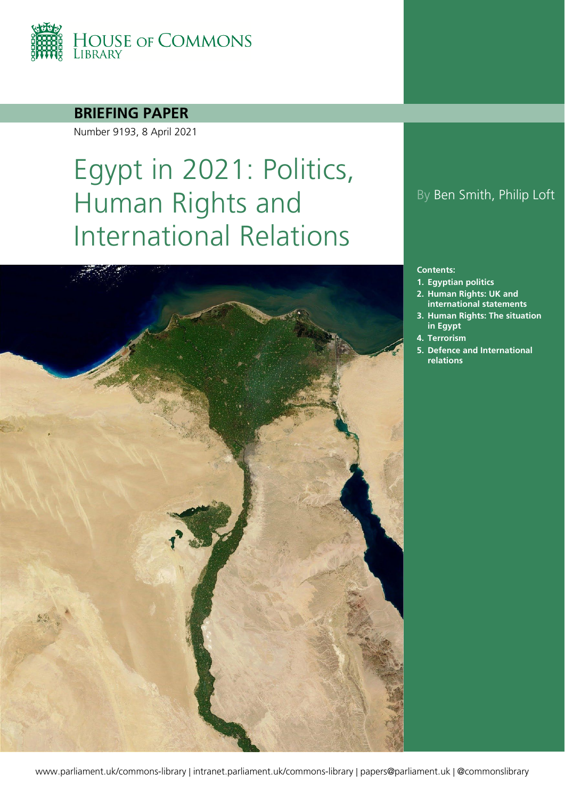

### **BRIEFING PAPER**

Number 9193, 8 April 2021

# Egypt in 2021: Politics, Human Rights and International Relations



#### **Contents:**

- **1. [Egyptian politics](#page-3-0)**
- **2. [Human Rights: UK and](#page-6-0)  [international statements](#page-6-0)**
- **3. [Human Rights: The situation](#page-8-0)  [in Egypt](#page-8-0)**
- **4. [Terrorism](#page-16-0)**
- **5. [Defence and International](#page-18-0)  [relations](#page-18-0)**

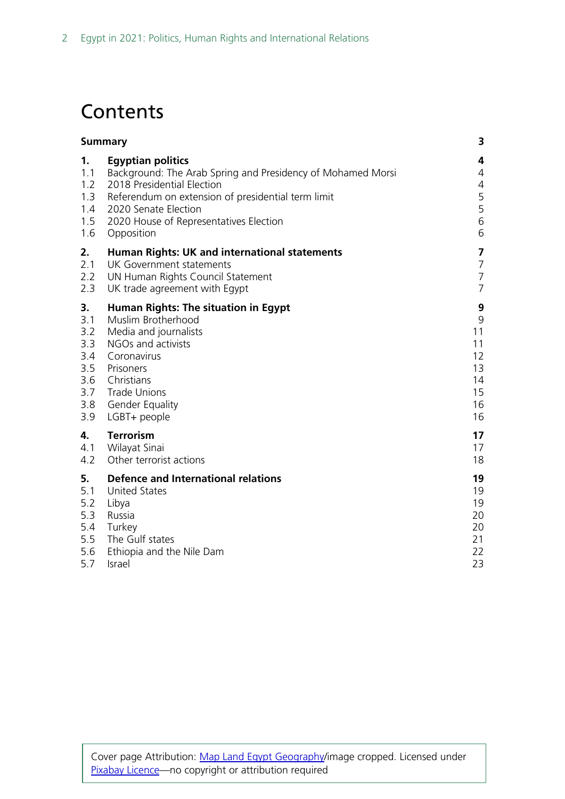## **Contents**

| <b>Summary</b>                               |                                                                                                                                                                                                                                                             | 3                                                                |
|----------------------------------------------|-------------------------------------------------------------------------------------------------------------------------------------------------------------------------------------------------------------------------------------------------------------|------------------------------------------------------------------|
| 1.<br>1.1<br>1.2<br>1.3<br>1.4<br>1.5<br>1.6 | <b>Egyptian politics</b><br>Background: The Arab Spring and Presidency of Mohamed Morsi<br>2018 Presidential Election<br>Referendum on extension of presidential term limit<br>2020 Senate Election<br>2020 House of Representatives Election<br>Opposition | 4<br>$\overline{4}$<br>$\overline{4}$<br>$\frac{5}{5}$<br>6<br>6 |
| 2.                                           | Human Rights: UK and international statements                                                                                                                                                                                                               | 7                                                                |
| 2.1                                          | UK Government statements                                                                                                                                                                                                                                    | $\overline{7}$                                                   |
| 2.2                                          | UN Human Rights Council Statement                                                                                                                                                                                                                           | $\overline{7}$                                                   |
| 2.3                                          | UK trade agreement with Egypt                                                                                                                                                                                                                               | $\overline{7}$                                                   |
| 3.                                           | Human Rights: The situation in Egypt                                                                                                                                                                                                                        | 9                                                                |
| 3.1                                          | Muslim Brotherhood                                                                                                                                                                                                                                          | 9                                                                |
| 3.2                                          | Media and journalists                                                                                                                                                                                                                                       | 11                                                               |
| 3.3                                          | NGOs and activists                                                                                                                                                                                                                                          | 11                                                               |
| 3.4                                          | Coronavirus                                                                                                                                                                                                                                                 | 12                                                               |
| 3.5                                          | Prisoners                                                                                                                                                                                                                                                   | 13                                                               |
| 3.6                                          | Christians                                                                                                                                                                                                                                                  | 14                                                               |
| 3.7                                          | <b>Trade Unions</b>                                                                                                                                                                                                                                         | 15                                                               |
| 3.8                                          | <b>Gender Equality</b>                                                                                                                                                                                                                                      | 16                                                               |
| 3.9                                          | LGBT+ people                                                                                                                                                                                                                                                | 16                                                               |
| 4.                                           | <b>Terrorism</b>                                                                                                                                                                                                                                            | 17                                                               |
| 4.1                                          | Wilayat Sinai                                                                                                                                                                                                                                               | 17                                                               |
| 4.2                                          | Other terrorist actions                                                                                                                                                                                                                                     | 18                                                               |
| 5.                                           | <b>Defence and International relations</b>                                                                                                                                                                                                                  | 19                                                               |
| 5.1                                          | <b>United States</b>                                                                                                                                                                                                                                        | 19                                                               |
| 5.2                                          | Libya                                                                                                                                                                                                                                                       | 19                                                               |
| 5.3                                          | Russia                                                                                                                                                                                                                                                      | 20                                                               |
| 5.4                                          | Turkey                                                                                                                                                                                                                                                      | 20                                                               |
| 5.5                                          | The Gulf states                                                                                                                                                                                                                                             | 21                                                               |
| 5.6                                          | Ethiopia and the Nile Dam                                                                                                                                                                                                                                   | 22                                                               |
| 5.7                                          | Israel                                                                                                                                                                                                                                                      | 23                                                               |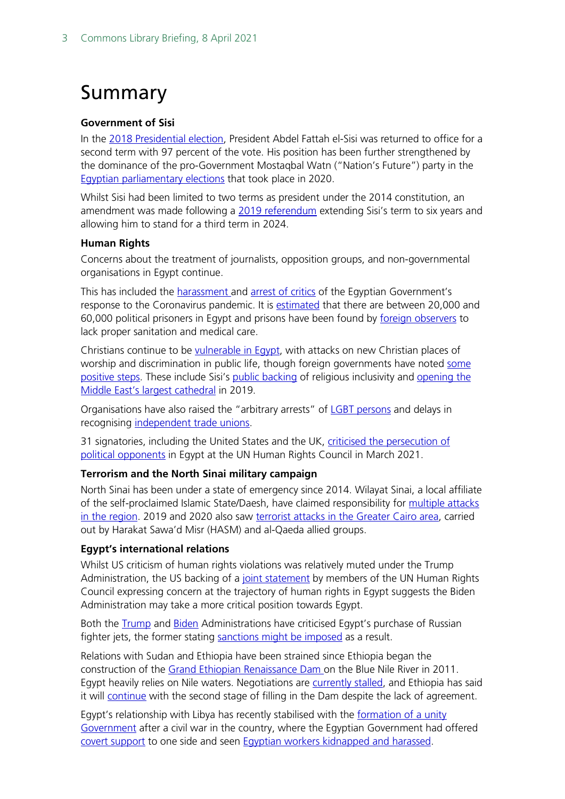## <span id="page-2-0"></span>Summary

#### **Government of Sisi**

In the [2018 Presidential election,](https://www.reuters.com/article/us-egypt-election-result-idUSKCN1H916A) President Abdel Fattah el-Sisi was returned to office for a second term with 97 percent of the vote. His position has been further strengthened by the dominance of the pro-Government Mostaqbal Watn ("Nation's Future") party in the [Egyptian parliamentary elections](https://www.reuters.com/article/egypt-election-int-idUSKBN28O2T0) that took place in 2020.

Whilst Sisi had been limited to two terms as president under the 2014 constitution, an amendment was made following a [2019 referendum](https://www.bbc.co.uk/news/world-middle-east-48035512) extending Sisi's term to six years and allowing him to stand for a third term in 2024.

#### **Human Rights**

Concerns about the treatment of journalists, opposition groups, and non-governmental organisations in Egypt continue.

This has included the **harassment and [arrest of critics](https://www.amnesty.org/en/latest/news/2020/06/egypt-health-care-workers-forced-to-make-impossible-choice-between-death-or-jail/)** of the Egyptian Government's response to the Coronavirus pandemic. It is [estimated](https://www.state.gov/reports/2020-country-reports-on-human-rights-practices/egypt/) that there are between 20,000 and 60,000 political prisoners in Egypt and prisons have been found by [foreign observers](https://www.ohchr.org/EN/NewsEvents/Pages/DisplayNews.aspx?NewsID=25772&LangID=E) to lack proper sanitation and medical care.

Christians continue to be [vulnerable in Egypt,](https://minorityrights.org/wp-content/uploads/2019/01/MRG_Rep_Egypt_EN_Jan19.pdf) with attacks on new Christian places of worship and discrimination in public life, though foreign governments have noted some [positive steps.](https://www.uscirf.gov/sites/default/files/Egypt.pdf) These include Sisi's [public backing](https://www.egypttoday.com/Article/1/71141/Al-Azhar-Sheikh-western-media-doesn-t-dare-accuse-Christianity#:%7E:text=In%20his%20speech%20at%20the,by%20its%20believers) of religious inclusivity and opening the [Middle East's largest cathedral](https://www.bbc.co.uk/news/world-middle-east-46775842) in 2019.

Organisations have also raised the "arbitrary arrests" of [LGBT persons](https://www.hrw.org/news/2020/10/01/egypt-security-forces-abuse-torture-lgbt-people) and delays in recognising [independent trade unions.](https://www.ituc-csi.org/IMG/pdf/ituc_globalrightsindex_2020_en.pdf)

31 signatories, including the United States and the UK, [criticised the persecution of](https://geneva.usmission.gov/2021/03/12/joint-statement-on-human-rights-in-egypt/)  [political opponents](https://geneva.usmission.gov/2021/03/12/joint-statement-on-human-rights-in-egypt/) in Egypt at the UN Human Rights Council in March 2021.

#### **Terrorism and the North Sinai military campaign**

North Sinai has been under a state of emergency since 2014. Wilayat Sinai, a local affiliate of the self-proclaimed Islamic State/Daesh, have claimed responsibility for multiple attacks in [the region.](https://carnegieendowment.org/sada/82218) 2019 and 2020 also saw [terrorist attacks in the Greater Cairo area,](https://www.state.gov/reports/country-reports-on-terrorism-2019/egypt/) carried out by Harakat Sawa'd Misr (HASM) and al-Qaeda allied groups.

#### **Egypt's international relations**

Whilst US criticism of human rights violations was relatively muted under the Trump Administration, the US backing of a joint [statement](https://www.reuters.com/article/egypt-rights-un-int/u-s-joins-west-in-rare-criticism-of-egypt-on-human-rights-abuses-idUSKBN2B4174) by members of the UN Human Rights Council expressing concern at the trajectory of human rights in Egypt suggests the Biden Administration may take a more critical position towards Egypt.

Both the [Trump](https://www.wsj.com/articles/u-s-threatens-egypt-with-sanctions-over-russian-arms-deal-11573769929) and [Biden](https://www.state.gov/secretary-blinkens-call-with-egyptian-foreign-minister-shoukry/) Administrations have criticised Egypt's purchase of Russian fighter jets, the former stating [sanctions might](https://www.appropriations.senate.gov/hearings/review-of-the-fy2020-budget-request-for-the-state-department) be imposed as a result.

Relations with Sudan and Ethiopia have been strained since Ethiopia began the construction of the [Grand Ethiopian Renaissance Dam o](https://www.bbc.co.uk/news/world-africa-50328647#:%7E:text=When%20complete%2C%20the%20Grand%20Renaissance,of%20the%20Nile)n the Blue Nile River in 2011. Egypt heavily relies on Nile waters. Negotiations are [currently stalled,](https://www.reuters.com/article/ethiopia-dam-egypt-int-idUSKBN2BT1HU) and Ethiopia has said it will [continue](https://www.reuters.com/article/us-ethiopia-dam-sudan-egypt-idUSKBN29G0JT) with the second stage of filling in the Dam despite the lack of agreement.

Egypt's relationship with Libya has recently stabilised with the [formation of a unity](https://commonslibrary.parliament.uk/research-briefings/cbp-9173/?utm_source=HOC+Library+-+Current+awareness+bulletins&utm_campaign=07adfdc63d-Current_Awareness_IADS_24_03_2021&utm_medium=email&utm_term=0_f325cdbfdc-07adfdc63d-103780026&mc_cid=07adfdc63d&mc_eid=ec2ad28b66)  [Government](https://commonslibrary.parliament.uk/research-briefings/cbp-9173/?utm_source=HOC+Library+-+Current+awareness+bulletins&utm_campaign=07adfdc63d-Current_Awareness_IADS_24_03_2021&utm_medium=email&utm_term=0_f325cdbfdc-07adfdc63d-103780026&mc_cid=07adfdc63d&mc_eid=ec2ad28b66) after a civil war in the country, where the Egyptian Government had offered [covert support](https://www.bbc.co.uk/news/world-africa-53779425) to one side and seen [Egyptian workers kidnapped and harassed.](https://www.al-monitor.com/originals/2021/03/egypt-seeks-role-libyas-reconstruction)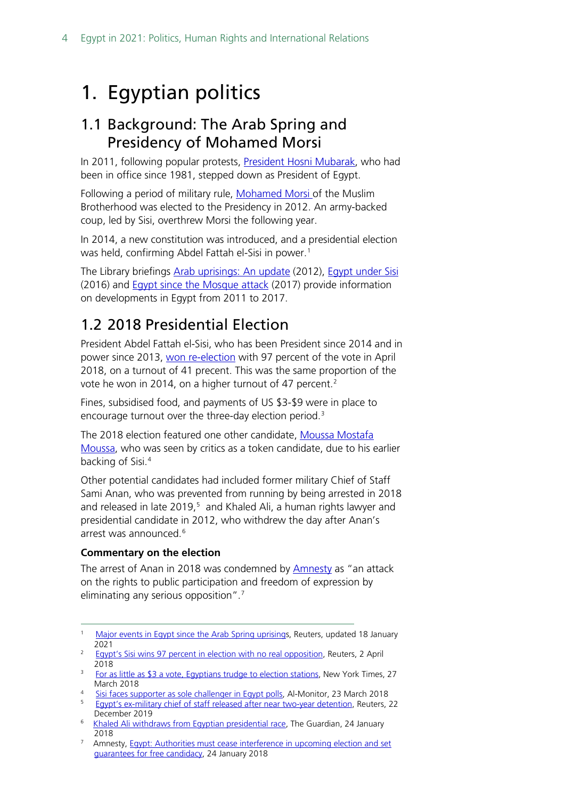## <span id="page-3-0"></span>1. Egyptian politics

### <span id="page-3-1"></span>1.1 Background: The Arab Spring and Presidency of Mohamed Morsi

In 2011, following popular protests, [President Hosni Mubarak,](https://www.reuters.com/article/us-egypt-mubarak-president-idUSTRE7197PL20110210) who had been in office since 1981, stepped down as President of Egypt.

Following a period of military rule, [Mohamed Morsi o](https://www.bbc.co.uk/news/world-middle-east-18371427)f the Muslim Brotherhood was elected to the Presidency in 2012. An army-backed coup, led by Sisi, overthrew Morsi the following year.

In 2014, a new constitution was introduced, and a presidential election was held, confirming Abdel Fattah el-Sisi in power.[1](#page-3-3)

The Library briefings [Arab uprisings: An update](https://commonslibrary.parliament.uk/research-briefings/sn06400/) (2012), [Egypt under Sisi](https://commonslibrary.parliament.uk/research-briefings/sn07146/) (2016) and **Egypt since the Mosque attack** (2017) provide information on developments in Egypt from 2011 to 2017.

### <span id="page-3-2"></span>1.2 2018 Presidential Election

President Abdel Fattah el-Sisi, who has been President since 2014 and in power since 2013, [won re-election](https://www.reuters.com/article/us-egypt-election-result-idUSKCN1H916A) with 97 percent of the vote in April 2018, on a turnout of 41 precent. This was the same proportion of the vote he won in [2](#page-3-4)014, on a higher turnout of 47 percent.<sup>2</sup>

Fines, subsidised food, and payments of US \$3-\$9 were in place to encourage turnout over the three-day election period.<sup>[3](#page-3-5)</sup>

The 2018 election featured one other candidate, [Moussa Mostafa](https://www.al-monitor.com/pulse/contents/afp/2018/03/egypt-vote-challenger-politics.html)  [Moussa,](https://www.al-monitor.com/pulse/contents/afp/2018/03/egypt-vote-challenger-politics.html) who was seen by critics as a token candidate, due to his earlier backing of Sisi. [4](#page-3-6)

Other potential candidates had included former military Chief of Staff Sami Anan, who was prevented from running by being arrested in 2018 and released in late  $2019<sub>1</sub>5$  $2019<sub>1</sub>5$  and Khaled Ali, a human rights lawyer and presidential candidate in 2012, who withdrew the day after Anan's arrest was announced. [6](#page-3-8)

#### **Commentary on the election**

The arrest of Anan in 2018 was condemned by [Amnesty](https://www.amnesty.org/en/latest/news/2018/01/egypt-authorities-must-cease-interference-in-upcoming-election-and-set-guarantees-for-free-candidacy/) as "an attack on the rights to public participation and freedom of expression by eliminating any serious opposition".<sup>[7](#page-3-9)</sup>

- March 2018<br><u>Sisi faces supporter as sole challenger in Egypt polls</u>, Al-Monitor, 23 March 2018
- <span id="page-3-7"></span><span id="page-3-6"></span>[Egypt's](https://www.reuters.com/article/us-egypt-politics-anan-idUSKBN1YQ0IC) ex-military chief of staff released after near two-year detention, Reuters, 22 December 2019<br><sup>6</sup> [Khaled Ali withdraws from Egyptian presidential race,](https://www.theguardian.com/world/2018/jan/24/khaled-ali-withdraws-egyptian-presidential-race-abdel-fatah-al-sissi) The Guardian, 24 January
- <span id="page-3-8"></span>2018
- <span id="page-3-9"></span><sup>7</sup> Amnesty, Egypt: Authorities must cease interference in upcoming election and set [guarantees for free candidacy,](https://www.amnesty.org/en/latest/news/2018/01/egypt-authorities-must-cease-interference-in-upcoming-election-and-set-guarantees-for-free-candidacy/) 24 January 2018

<span id="page-3-3"></span><sup>&</sup>lt;sup>1</sup> [Major events in Egypt since the Arab Spring uprisings](https://www.reuters.com/article/egypt-uprising-anniversary-idUSL8N2JT1FE), Reuters, updated 18 January 2021

<span id="page-3-4"></span><sup>&</sup>lt;sup>2</sup> [Egypt's Sisi wins 97 percent in election with no real opposition,](https://www.reuters.com/article/us-egypt-election-result-idUSKCN1H916A) Reuters, 2 April 2018

<span id="page-3-5"></span><sup>&</sup>lt;sup>3</sup> [For as little as \\$3 a vote, Egyptians trudge to election stations,](https://www.nytimes.com/2018/03/27/world/middleeast/egypt-election-sisi.html) New York Times, 27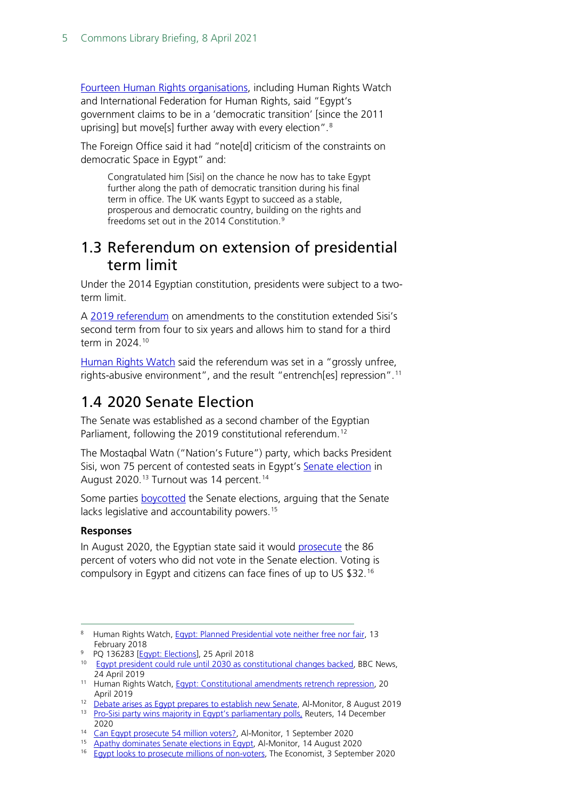[Fourteen Human Rights organisations,](https://www.hrw.org/news/2018/02/13/egypt-planned-presidential-vote-neither-free-nor-fair) including Human Rights Watch and International Federation for Human Rights, said "Egypt's government claims to be in a 'democratic transition' [since the 2011 uprising] but move[s] further away with every election".[8](#page-4-2)

The Foreign Office said it had "note[d] criticism of the constraints on democratic Space in Egypt" and:

Congratulated him [Sisi] on the chance he now has to take Egypt further along the path of democratic transition during his final term in office. The UK wants Egypt to succeed as a stable, prosperous and democratic country, building on the rights and freedoms set out in the 2014 Constitution.[9](#page-4-3)

### <span id="page-4-0"></span>1.3 Referendum on extension of presidential term limit

Under the 2014 Egyptian constitution, presidents were subject to a twoterm limit.

A [2019 referendum](https://www.bbc.co.uk/news/world-middle-east-48035512) on amendments to the constitution extended Sisi's second term from four to six years and allows him to stand for a third term in 2024.[10](#page-4-4)

[Human Rights Watch](https://www.hrw.org/news/2019/04/20/egypt-constitutional-amendments-entrench-repression) said the referendum was set in a "grossly unfree, rights-abusive environment", and the result "entrench[es] repression".[11](#page-4-5)

### <span id="page-4-1"></span>1.4 2020 Senate Election

The Senate was established as a second chamber of the Egyptian Parliament, following the 2019 constitutional referendum.<sup>[12](#page-4-6)</sup>

The Mostaqbal Watn ("Nation's Future") party, which backs President Sisi, won 75 percent of contested seats in Egypt's [Senate election](https://www.reuters.com/article/egypt-election-int-idUSKBN28O2T0) in August 2020.<sup>[13](#page-4-7)</sup> Turnout was [14](#page-4-8) percent.<sup>14</sup>

Some parties **boycotted** the Senate elections, arguing that the Senate lacks legislative and accountability powers.<sup>15</sup>

#### **Responses**

In August 2020, the Egyptian state said it would [prosecute](https://www.economist.com/middle-east-and-africa/2020/09/03/egypt-looks-to-prosecute-millions-of-non-voters) the 86 percent of voters who did not vote in the Senate election. Voting is compulsory in Egypt and citizens can face fines of up to US \$32.[16](#page-4-10)

- <span id="page-4-3"></span><sup>9</sup> PQ 136283 [\[Egypt: Elections\]](https://questions-statements.parliament.uk/written-questions/detail/2018-04-17/136283), 25 April 2018
- <span id="page-4-4"></span><sup>10</sup> [Egypt president could rule until 2030 as constitutional changes backed,](https://www.bbc.co.uk/news/world-middle-east-48035512) BBC News, 24 April 2019
- <span id="page-4-5"></span><sup>11</sup> Human Rights Watch, [Egypt: Constitutional amendments retrench repression,](https://www.hrw.org/news/2019/04/20/egypt-constitutional-amendments-entrench-repression) 20
- April 2019<br><sup>12</sup> [Debate arises as Egypt prepares to establish new Senate,](https://www.al-monitor.com/originals/2019/08/egypt-senate-law-parliament-chambers-constitution.html) Al-Monitor, 8 August 2019
- <span id="page-4-7"></span><span id="page-4-6"></span><sup>13</sup> [Pro-Sisi party wins majority in Egypt's parliamentary](https://www.reuters.com/article/egypt-election-int-idUSKBN28O2T0) polls, Reuters, 14 December 2020<br><sup>14</sup> Can Egypt prosecute 54 million voters?, Al-Monitor, 1 September 2020
- 
- <span id="page-4-9"></span><span id="page-4-8"></span><sup>15</sup> [Apathy dominates Senate elections in Egypt,](https://www.al-monitor.com/originals/2020/08/egypt-senate-elections-sisi-supporters-low-turnout.html) Al-Monitor, 14 August 2020
- <span id="page-4-10"></span>16 [Egypt looks to prosecute millions of non-voters,](https://www.economist.com/middle-east-and-africa/2020/09/03/egypt-looks-to-prosecute-millions-of-non-voters) The Economist, 3 September 2020

<span id="page-4-2"></span><sup>&</sup>lt;sup>8</sup> Human Rights Watch[, Egypt: Planned Presidential vote neither free nor fair,](https://www.hrw.org/news/2018/02/13/egypt-planned-presidential-vote-neither-free-nor-fair) 13 February 2018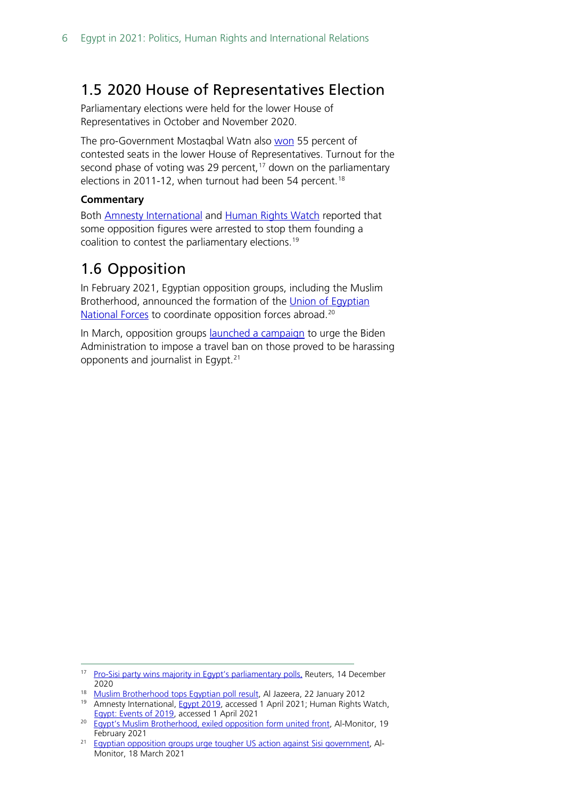### <span id="page-5-0"></span>1.5 2020 House of Representatives Election

Parliamentary elections were held for the lower House of Representatives in October and November 2020.

The pro-Government Mostaqbal Watn also [won](https://www.reuters.com/article/egypt-election-int-idUSKBN28O2T0) 55 percent of contested seats in the lower House of Representatives. Turnout for the second phase of voting was 29 percent, $17$  down on the parliamentary elections in 2011-12, when turnout had been 54 percent.<sup>[18](#page-5-3)</sup>

#### **Commentary**

Both **Amnesty [International](https://www.amnesty.org/en/countries/middle-east-and-north-africa/egypt/report-egypt/#_ftnref3) and [Human Rights Watch](https://www.hrw.org/world-report/2020/country-chapters/egypt) reported that** some opposition figures were arrested to stop them founding a coalition to contest the parliamentary elections.[19](#page-5-4)

### <span id="page-5-1"></span>1.6 Opposition

In February 2021, Egyptian opposition groups, including the Muslim Brotherhood, announced the formation of the Union of Egyptian [National Forces](https://www.al-monitor.com/originals/2021/02/egypt-muslim-brotherhood-opposition-sisi-abroad-biden.html) to coordinate opposition forces abroad.<sup>[20](#page-5-5)</sup>

In March, opposition groups **[launched a campaign](https://www.al-monitor.com/originals/2021/03/egyptian-opposition-groups-urge-tougher-us-action-against-sisi-government)** to urge the Biden Administration to impose a travel ban on those proved to be harassing opponents and journalist in Egypt. [21](#page-5-6)

<span id="page-5-2"></span><sup>&</sup>lt;sup>17</sup> [Pro-Sisi party wins majority in Egypt's parliamentary polls,](https://www.reuters.com/article/egypt-election-int-idUSKBN28O2T0) Reuters, 14 December 2020

<span id="page-5-4"></span><span id="page-5-3"></span><sup>&</sup>lt;sup>18</sup> [Muslim Brotherhood tops Egyptian poll result,](https://www.aljazeera.com/news/2012/1/22/muslim-brotherhood-tops-egyptian-poll-result) Al Jazeera, 22 January 2012

<sup>&</sup>lt;sup>19</sup> Amnesty International, **Egypt 2019**, accessed 1 April 2021; Human Rights Watch, **Egypt: Events of 2019**, accessed 1 April 2021

<span id="page-5-5"></span><sup>&</sup>lt;sup>20</sup> [Egypt's Muslim Brotherhood, exiled opposition form united front,](https://www.al-monitor.com/originals/2021/02/egypt-muslim-brotherhood-opposition-sisi-abroad-biden.html) Al-Monitor, 19 February 2021

<span id="page-5-6"></span><sup>&</sup>lt;sup>21</sup> [Egyptian opposition groups urge tougher US action against Sisi government,](https://www.al-monitor.com/originals/2021/03/egyptian-opposition-groups-urge-tougher-us-action-against-sisi-government) Al-Monitor, 18 March 2021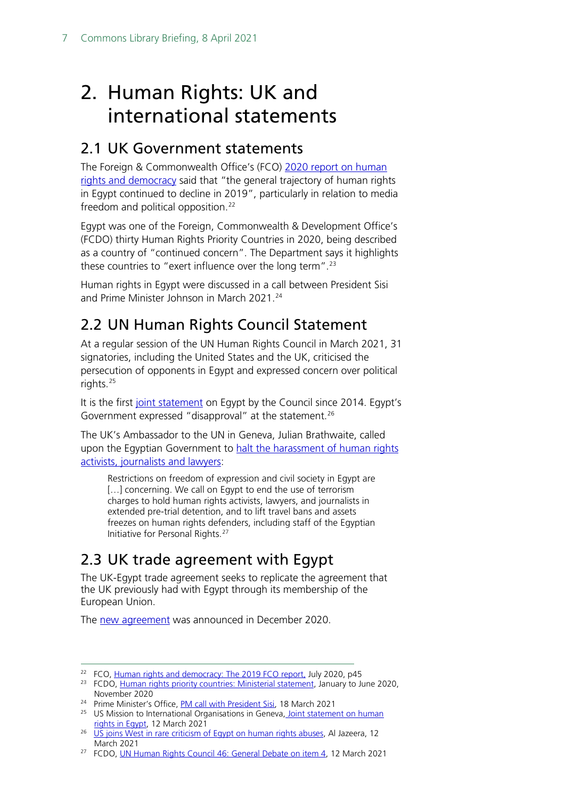## <span id="page-6-0"></span>2. Human Rights: UK and international statements

### <span id="page-6-1"></span>2.1 UK Government statements

The Foreign & Commonwealth Office's (FCO) [2020 report on human](https://assets.publishing.service.gov.uk/government/uploads/system/uploads/attachment_data/file/902494/FCO1414_FCO_AHRR_2019_-_accessible.pdf)  [rights and democracy](https://assets.publishing.service.gov.uk/government/uploads/system/uploads/attachment_data/file/902494/FCO1414_FCO_AHRR_2019_-_accessible.pdf) said that "the general trajectory of human rights in Egypt continued to decline in 2019", particularly in relation to media freedom and political opposition.<sup>[22](#page-6-4)</sup>

Egypt was one of the Foreign, Commonwealth & Development Office's (FCDO) thirty Human Rights Priority Countries in 2020, being described as a country of "continued concern". The Department says it highlights these countries to "exert influence over the long term".<sup>[23](#page-6-5)</sup>

Human rights in Egypt were discussed in a call between President Sisi and Prime Minister Johnson in March 2021.[24](#page-6-6)

### <span id="page-6-2"></span>2.2 UN Human Rights Council Statement

At a regular session of the UN Human Rights Council in March 2021, 31 signatories, including the United States and the UK, criticised the persecution of opponents in Egypt and expressed concern over political rights.[25](#page-6-7)

It is the first [joint statement](https://geneva.usmission.gov/2021/03/12/joint-statement-on-human-rights-in-egypt/) on Egypt by the Council since 2014. Egypt's Government expressed "disapproval" at the statement.<sup>[26](#page-6-8)</sup>

The UK's Ambassador to the UN in Geneva, Julian Brathwaite, called upon the Egyptian Government to halt the harassment of human rights [activists, journalists and lawyers:](https://www.gov.uk/government/speeches/un-human-rights-council-46-general-debate-on-item-4)

Restrictions on freedom of expression and civil society in Egypt are [...] concerning. We call on Egypt to end the use of terrorism charges to hold human rights activists, lawyers, and journalists in extended pre-trial detention, and to lift travel bans and assets freezes on human rights defenders, including staff of the Egyptian Initiative for Personal Rights.[27](#page-6-9)

### <span id="page-6-3"></span>2.3 UK trade agreement with Egypt

The UK-Egypt trade agreement seeks to replicate the agreement that the UK previously had with Egypt through its membership of the European Union.

The [new agreement](https://www.gov.uk/government/publications/continuing-the-uks-trade-relationship-with-egypt-parliamentary-report/continuing-the-united-kingdoms-trade-relationship-with-egypt-web-optimised-version) was announced in December 2020.

<span id="page-6-4"></span><sup>&</sup>lt;sup>22</sup> FCO, [Human rights and democracy: The 2019 FCO report,](https://assets.publishing.service.gov.uk/government/uploads/system/uploads/attachment_data/file/902494/FCO1414_FCO_AHRR_2019_-_accessible.pdf) July 2020, p45

<span id="page-6-5"></span><sup>&</sup>lt;sup>23</sup> FCDO, [Human rights priority countries: Ministerial statement,](https://www.gov.uk/government/publications/human-rights-priority-countries-autumn-2020-ministerial-statement/human-rights-priority-countries-ministerial-statement-january-to-june-2020) January to June 2020, November 2020

<span id="page-6-6"></span><sup>&</sup>lt;sup>24</sup> Prime Minister's Office, PM [call with President Sisi,](https://www.gov.uk/government/news/pm-call-with-president-sisi-18-march-2021?utm_medium=email&utm_campaign=govuk-notifications&utm_source=f282a0a2-b346-476c-aaf2-fb5a94a28310&utm_content=immediately) 18 March 2021

<span id="page-6-7"></span><sup>&</sup>lt;sup>25</sup> US Mission to International Organisations in Geneva, Joint statement on human [rights in Egypt,](https://geneva.usmission.gov/2021/03/12/joint-statement-on-human-rights-in-egypt/) 12 March 2021<br><sup>26</sup> [US joins West in rare criticism of Egypt on human rights abuses,](https://www.aljazeera.com/news/2021/3/12/us-joins-west-in-rare-criticism-of-egypt-on-human-rights-abuses) Al Jazeera, 12

<span id="page-6-8"></span>March 2021

<span id="page-6-9"></span><sup>&</sup>lt;sup>27</sup> FCDO, [UN Human Rights Council 46: General Debate on item 4,](https://www.gov.uk/government/speeches/un-human-rights-council-46-general-debate-on-item-4) 12 March 2021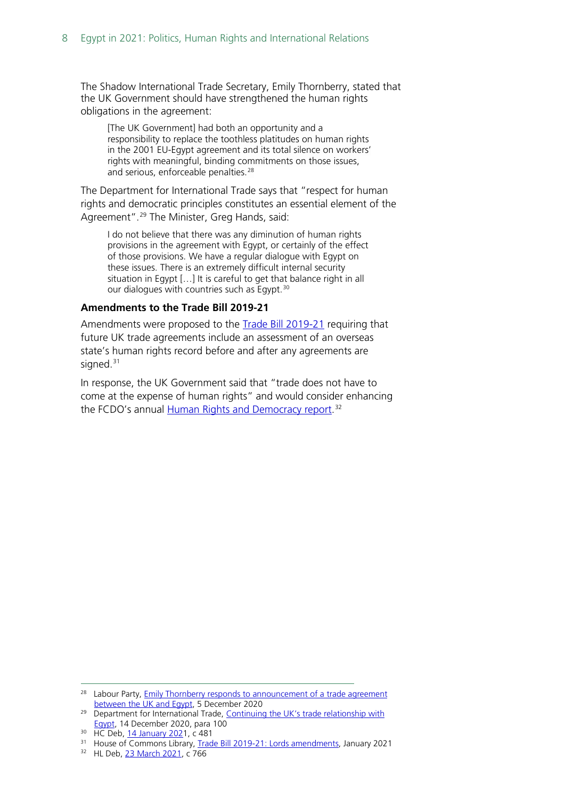The Shadow International Trade Secretary, Emily Thornberry, stated that the UK Government should have strengthened the human rights obligations in the agreement:

[The UK Government] had both an opportunity and a responsibility to replace the toothless platitudes on human rights in the 2001 EU-Egypt agreement and its total silence on workers' rights with meaningful, binding commitments on those issues, and serious, enforceable penalties.<sup>[28](#page-7-0)</sup>

The Department for International Trade says that "respect for human rights and democratic principles constitutes an essential element of the Agreement". [29](#page-7-1) The Minister, Greg Hands, said:

I do not believe that there was any diminution of human rights provisions in the agreement with Egypt, or certainly of the effect of those provisions. We have a regular dialogue with Egypt on these issues. There is an extremely difficult internal security situation in Egypt […] It is careful to get that balance right in all our dialogues with countries such as Egypt.<sup>[30](#page-7-2)</sup>

#### **Amendments to the Trade Bill 2019-21**

Amendments were proposed to the **Trade Bill 2019-21** requiring that future UK trade agreements include an assessment of an overseas state's human rights record before and after any agreements are signed.<sup>[31](#page-7-3)</sup>

In response, the UK Government said that "trade does not have to come at the expense of human rights" and would consider enhancing the FCDO's annual <u>Human Rights and Democracy report</u>.<sup>[32](#page-7-4)</sup>

<span id="page-7-0"></span><sup>&</sup>lt;sup>28</sup> Labour Party, **Emily Thornberry responds to announcement of a trade agreement between the UK and Egypt, 5 December 2020** 

<span id="page-7-1"></span><sup>&</sup>lt;sup>29</sup> Department for International Trade, Continuing the UK's trade relationship with [Egypt,](https://www.gov.uk/government/publications/continuing-the-uks-trade-relationship-with-egypt-parliamentary-report/continuing-the-united-kingdoms-trade-relationship-with-egypt-web-optimised-version) 14 December 2020, para 100

<span id="page-7-2"></span><sup>&</sup>lt;sup>30</sup> HC Deb[, 14 January 2021](https://hansard.parliament.uk/Commons/2021-01-14/debates/81484F9C-4C80-41B6-B4E8-B996B5FA5B3E/HumanRightsClausesTradeAgreements#contribution-4E8FDD66-EA39-4B31-A680-F6629602C3B8), c 481

<span id="page-7-4"></span><span id="page-7-3"></span><sup>&</sup>lt;sup>31</sup> House of Commons Library, [Trade Bill 2019-21: Lords amendments,](https://commonslibrary.parliament.uk/research-briefings/cbp-9107/) January 2021<br><sup>32</sup> HL Deb[, 23 March 2021,](https://hansard.parliament.uk/lords/2021-03-23/debates/66EF8105-87C3-45B3-A61F-23AD6E092CDB/TradeBill) c 766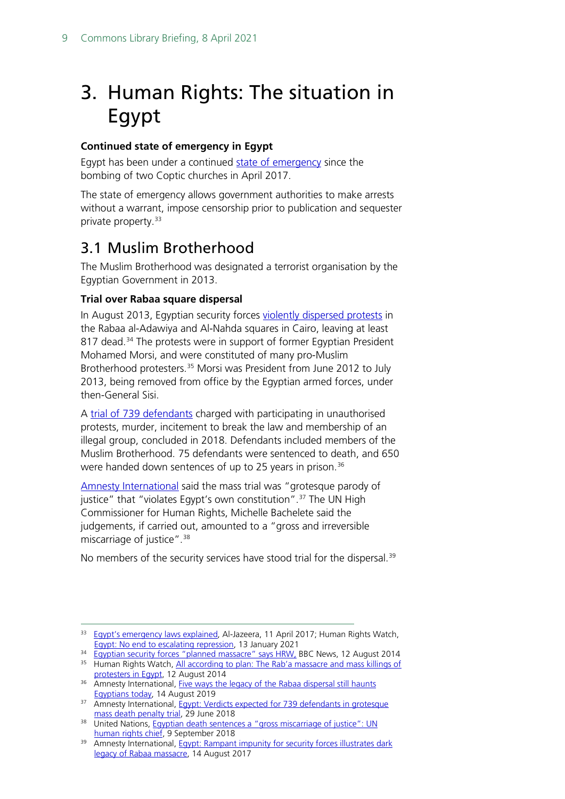## <span id="page-8-0"></span>3. Human Rights: The situation in Egypt

### **Continued state of emergency in Egypt**

Egypt has been under a continued [state of emergency](https://www.aljazeera.com/features/2017/4/11/egypts-emergency-law-explained) since the bombing of two Coptic churches in April 2017.

The state of emergency allows government authorities to make arrests without a warrant, impose censorship prior to publication and sequester private property.<sup>[33](#page-8-2)</sup>

### <span id="page-8-1"></span>3.1 Muslim Brotherhood

The Muslim Brotherhood was designated a terrorist organisation by the Egyptian Government in 2013.

#### **Trial over Rabaa square dispersal**

In August 2013, Egyptian security forces [violently dispersed protests](https://www.bbc.co.uk/news/world-middle-east-28746899) in the Rabaa al-Adawiya and Al-Nahda squares in Cairo, leaving at least 817 dead.<sup>[34](#page-8-3)</sup> The protests were in support of former Egyptian President Mohamed Morsi, and were constituted of many pro-Muslim Brotherhood protesters.<sup>[35](#page-8-4)</sup> Morsi was President from June 2012 to July 2013, being removed from office by the Egyptian armed forces, under then-General Sisi.

A [trial of 739 defendants](https://www.amnesty.org/en/latest/news/2019/08/five-ways-the-legacy-of-the-rabaa-dispersal-still-haunts-egyptians-today/) charged with participating in unauthorised protests, murder, incitement to break the law and membership of an illegal group, concluded in 2018. Defendants included members of the Muslim Brotherhood. 75 defendants were sentenced to death, and 650 were handed down sentences of up to 25 years in prison.<sup>[36](#page-8-5)</sup>

Amnesty [International](https://www.amnesty.org/en/latest/news/2018/06/egypt-verdicts-expected-for-739-defendants-in-grotesque-mass-death-penalty-trial/) said the mass trial was "grotesque parody of justice" that "violates Egypt's own constitution".<sup>[37](#page-8-6)</sup> The UN High Commissioner for Human Rights, Michelle Bachelete said the judgements, if carried out, amounted to a "gross and irreversible miscarriage of justice".[38](#page-8-7)

No members of the security services have stood trial for the dispersal.<sup>[39](#page-8-8)</sup>

<span id="page-8-2"></span> $33$  [Egypt's emergency laws explained,](https://www.aljazeera.com/features/2017/4/11/egypts-emergency-law-explained) Al-Jazeera, 11 April 2017; Human Rights Watch, Egypt: No end to escalating repression, 13 January 2021

<span id="page-8-3"></span><sup>&</sup>lt;sup>34</sup> [Egyptian security forces "planned massacre" says HRW,](https://www.bbc.co.uk/news/world-middle-east-28746899) BBC News, 12 August 2014

<span id="page-8-4"></span><sup>&</sup>lt;sup>35</sup> Human Rights Watch, <u>All according to plan: The Rab'a massacre and mass killings of protesters in Egypt, 12 August 2014</u>

<span id="page-8-5"></span><sup>36</sup> Amnesty International, Five ways the legacy of the Rabaa dispersal still haunts

<span id="page-8-6"></span>[Egyptians today,](https://www.amnesty.org/en/latest/news/2019/08/five-ways-the-legacy-of-the-rabaa-dispersal-still-haunts-egyptians-today/) 14 August 2019<br>37 Amnesty International, Egypt: Verdicts expected for 739 defendants in grotesque<br>37 mass death penalty trial, 29 June 2018

<span id="page-8-7"></span><sup>&</sup>lt;sup>38</sup> United Nations, Egyptian death sentences a "gross miscarriage of justice": UN<br>human rights chief, 9 September 2018

<span id="page-8-8"></span><sup>39</sup> Amnesty International, Egypt: Rampant impunity for security forces illustrates dark [legacy of Rabaa massacre,](https://www.amnesty.org/en/latest/news/2017/08/egypt-rampant-impunity-for-security-forces-illustrates-dark-legacy-of-rabaa-massacre/) 14 August 2017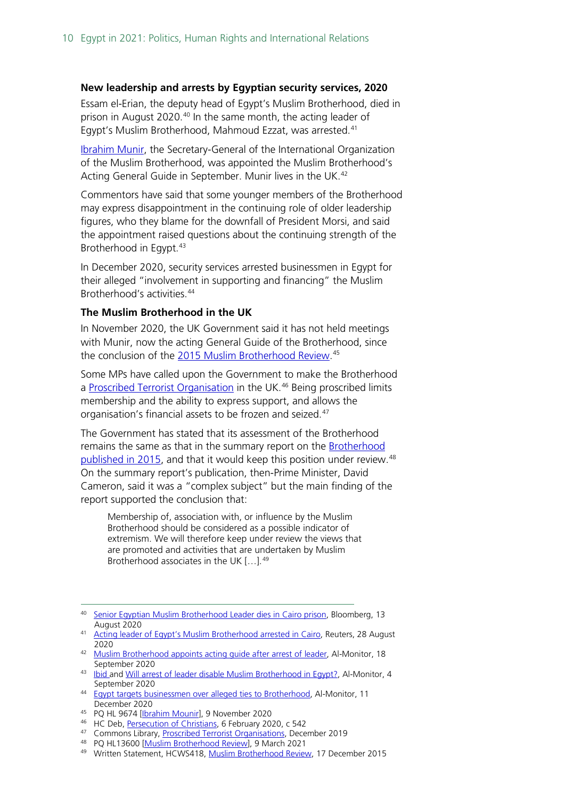#### **New leadership and arrests by Egyptian security services, 2020**

Essam el-Erian, the deputy head of Egypt's Muslim Brotherhood, died in prison in August 2020.<sup>[40](#page-9-0)</sup> In the same month, the acting leader of Egypt's Muslim Brotherhood, Mahmoud Ezzat, was arrested.<sup>[41](#page-9-1)</sup>

[Ibrahim Munir,](https://www.al-monitor.com/originals/2020/09/egypt-arrest-leader-muslim-brotherhood-successor.html) the Secretary-General of the International Organization of the Muslim Brotherhood, was appointed the Muslim Brotherhood's Acting General Guide in September. Munir lives in the UK. [42](#page-9-2)

Commentors have said that some younger members of the Brotherhood may express disappointment in the continuing role of older leadership figures, who they blame for the downfall of President Morsi, and said the appointment raised questions about the continuing strength of the Brotherhood in Egypt.<sup>[43](#page-9-3)</sup>

In December 2020, security services arrested businessmen in Egypt for their alleged "involvement in supporting and financing" the Muslim Brotherhood's activities.[44](#page-9-4)

#### **The Muslim Brotherhood in the UK**

In November 2020, the UK Government said it has not held meetings with Munir, now the acting General Guide of the Brotherhood, since the conclusion of the [2015 Muslim Brotherhood Review.](https://www.gov.uk/government/publications/muslim-brotherhood-review-main-findings)<sup>[45](#page-9-5)</sup>

Some MPs have called upon the Government to make the Brotherhood a [Proscribed Terrorist Organisation](https://commonslibrary.parliament.uk/research-briefings/sn00815/) in the UK.<sup>[46](#page-9-6)</sup> Being proscribed limits membership and the ability to express support, and allows the organisation's financial assets to be frozen and seized.[47](#page-9-7)

The Government has stated that its assessment of the Brotherhood remains the same as that in the summary report on the **Brotherhood** [published in 2015,](https://www.gov.uk/government/publications/muslim-brotherhood-review-main-findings) and that it would keep this position under review.<sup>[48](#page-9-8)</sup> On the summary report's publication, then-Prime Minister, David Cameron, said it was a "complex subject" but the main finding of the report supported the conclusion that:

Membership of, association with, or influence by the Muslim Brotherhood should be considered as a possible indicator of extremism. We will therefore keep under review the views that are promoted and activities that are undertaken by Muslim Brotherhood associates in the UK […]. [49](#page-9-9)

- 
- <span id="page-9-9"></span><span id="page-9-8"></span>49 Written Statement, HCWS418[, Muslim Brotherhood Review,](https://questions-statements.parliament.uk/written-statements/detail/2015-12-17/HCWS418) 17 December 2015

<span id="page-9-0"></span><sup>40</sup> [Senior Egyptian Muslim Brotherhood Leader dies in Cairo prison,](https://www.bloomberg.com/news/articles/2020-08-13/senior-egyptian-muslim-brotherhood-leader-dies-in-cairo-prison) Bloomberg, 13 August 2020 41 [Acting leader of Egypt's Muslim Brotherhood arrested in Cairo,](https://www.reuters.com/article/uk-egypt-politics/acting-leader-of-egypts-muslim-brotherhood-arrested-in-cairo-idUKKBN25O1E9) Reuters, 28 August

<span id="page-9-1"></span><sup>2020</sup>

<span id="page-9-2"></span><sup>&</sup>lt;sup>42</sup> [Muslim Brotherhood appoints acting guide after arrest of leader,](https://www.al-monitor.com/originals/2020/09/egypt-arrest-leader-muslim-brotherhood-successor.html) Al-Monitor, 18<br>September 2020

<span id="page-9-3"></span><sup>&</sup>lt;sup>43</sup> [Ibid a](https://www.al-monitor.com/originals/2020/09/egypt-arrest-leader-muslim-brotherhood-successor.html)nd Will arrest of [leader disable Muslim Brotherhood in Egypt?,](https://www.al-monitor.com/originals/2020/09/egypt-arrest-muslim-brotherhood-leader-reconciliation.html) Al-Monitor, 4 September 2020<br><sup>44</sup> [Egypt targets businessmen over alleged ties to Brotherhood,](https://www.al-monitor.com/originals/2020/12/egypt-arrest-businessmen-ties-muslim-brotherhood.html) Al-Monitor, 11

<span id="page-9-4"></span>December 2020

<span id="page-9-5"></span><sup>45</sup> PQ HL 9674 [\[Ibrahim Mounir\]](https://questions-statements.parliament.uk/written-questions/detail/2020-10-27/HL9674), 9 November 2020

<span id="page-9-6"></span><sup>46</sup> HC Deb[, Persecution of Christians,](https://hansard.parliament.uk/Commons/2020-02-06/debates/39461207-892D-4E68-A5F0-F772500BB2A6/PersecutionOfChristians#contribution-A3C784AA-F601-4936-9A9D-E9F6EDA3E944) 6 February 2020, c 542

<span id="page-9-7"></span><sup>47</sup> Commons Library, [Proscribed Terrorist Organisations,](https://commonslibrary.parliament.uk/research-briefings/sn00815/) December 2019<br>48 PQ HL13600 [Muslim Brotherhood Review], 9 March 2021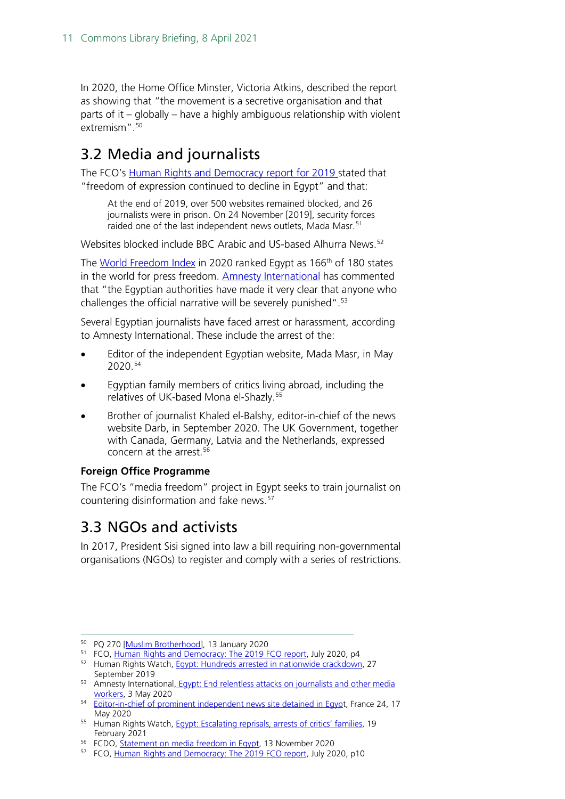In 2020, the Home Office Minster, Victoria Atkins, described the report as showing that "the movement is a secretive organisation and that parts of it – globally – have a highly ambiguous relationship with violent extremism".<sup>[50](#page-10-2)</sup>

### <span id="page-10-0"></span>3.2 Media and journalists

The FCO's [Human Rights and Democracy report for 2019 s](https://www.gov.uk/government/publications/human-rights-and-democracy-report-2019/human-rights-and-democracy-the-2019-foreign-and-commonwealth-office-report)tated that "freedom of expression continued to decline in Egypt" and that:

At the end of 2019, over 500 websites remained blocked, and 26 journalists were in prison. On 24 November [2019], security forces raided one of the last independent news outlets, Mada Masr.<sup>[51](#page-10-3)</sup>

Websites blocked include BBC Arabic and US-based Alhurra News. [52](#page-10-4)

The [World Freedom Index](https://rsf.org/en/taxonomy/term/156) in 2020 ranked Egypt as 166<sup>th</sup> of 180 states in the world for press freedom. [Amnesty International](https://www.amnesty.org/en/latest/news/2020/05/egypt-end-relentless-attacks-on-journalists-and-other-media-workers/) has commented that "the Egyptian authorities have made it very clear that anyone who challenges the official narrative will be severely punished". [53](#page-10-5)

Several Egyptian journalists have faced arrest or harassment, according to Amnesty International. These include the arrest of the:

- Editor of the independent Egyptian website, Mada Masr, in May 2020.[54](#page-10-6)
- Egyptian family members of critics living abroad, including the relatives of UK-based Mona el-Shazly.[55](#page-10-7)
- Brother of journalist Khaled el-Balshy, editor-in-chief of the news website Darb, in September 2020. The UK Government, together with Canada, Germany, Latvia and the Netherlands, expressed concern at the arrest. [56](#page-10-8)

#### **Foreign Office Programme**

The FCO's "media freedom" project in Egypt seeks to train journalist on countering disinformation and fake news.[57](#page-10-9)

### <span id="page-10-1"></span>3.3 NGOs and activists

In 2017, President Sisi signed into law a bill requiring non-governmental organisations (NGOs) to register and comply with a series of restrictions.

<span id="page-10-2"></span><sup>50</sup> PQ 270 [\[Muslim Brotherhood\]](https://questions-statements.parliament.uk/written-questions/detail/2019-12-20/270), 13 January 2020

<span id="page-10-3"></span><sup>&</sup>lt;sup>51</sup> FCO, [Human Rights and Democracy: The 2019 FCO report,](https://assets.publishing.service.gov.uk/government/uploads/system/uploads/attachment_data/file/902494/FCO1414_FCO_AHRR_2019_-_accessible.pdf) July 2020, p4

<span id="page-10-4"></span><sup>52</sup> Human Rights Watch, [Egypt: Hundreds arrested in nationwide crackdown,](https://www.hrw.org/news/2019/09/27/egypt-hundreds-arrested-nationwide-crackdown#:%7E:text=The%20authorities%20have%20restricted%20access,Alhurra%20News%2C%20and%20Facebook%20Messenger.&text=These%20include%2C%20for%20example%2C%20the,Manassa%2C%20and%20Human%20Rights%20Watch.) 27<br>September 2019

<span id="page-10-5"></span><sup>53</sup> Amnesty International, Egypt: End relentless attacks on journalists and other media

<span id="page-10-6"></span>[workers,](https://www.amnesty.org/en/latest/news/2020/05/egypt-end-relentless-attacks-on-journalists-and-other-media-workers/) 3 May 2020<br>
54 [Editor-in-chief of prominent independent news site detained in Egypt](https://www.france24.com/en/20200517-editor-in-chief-of-prominent-independent-news-site-arrested-in-egypt), France 24, 17<br>
May 2020

<span id="page-10-7"></span><sup>&</sup>lt;sup>55</sup> Human Rights Watch, [Egypt: Escalating reprisals, arrests of critics' families,](https://www.hrw.org/news/2021/02/19/egypt-escalating-reprisals-arrests-critics-families) 19

<span id="page-10-8"></span>February 2021 56 FCDO, [Statement on media freedom in Egypt,](https://www.gov.uk/government/news/statement-on-media-freedom-in-egypt) 13 November 2020

<span id="page-10-9"></span><sup>&</sup>lt;sup>57</sup> FCO, [Human Rights and Democracy: The](https://assets.publishing.service.gov.uk/government/uploads/system/uploads/attachment_data/file/902494/FCO1414_FCO_AHRR_2019_-_accessible.pdf) 2019 FCO report, July 2020, p10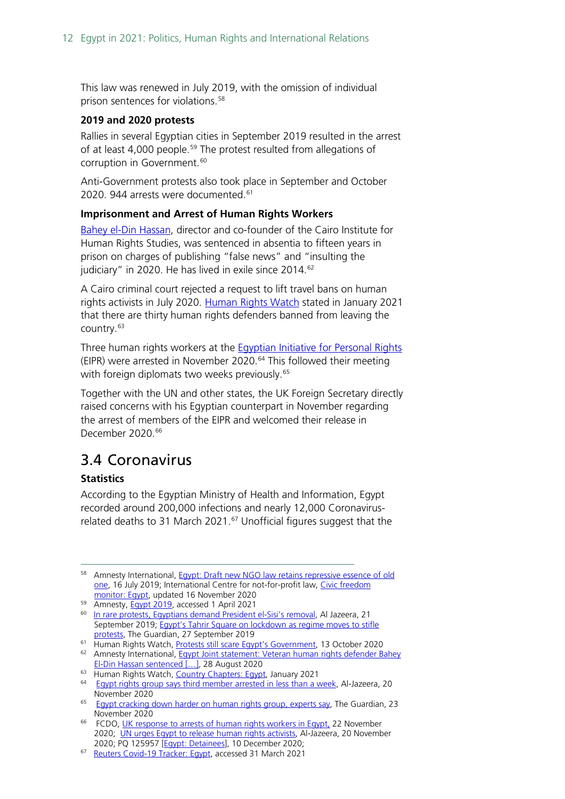This law was renewed in July 2019, with the omission of individual prison sentences for violations.[58](#page-11-1)

#### **2019 and 2020 protests**

Rallies in several Egyptian cities in September 2019 resulted in the arrest of at least 4,000 people.<sup>[59](#page-11-2)</sup> The protest resulted from allegations of corruption in Government. [60](#page-11-3)

Anti-Government protests also took place in September and October 2020. 944 arrests were documented.<sup>[61](#page-11-4)</sup>

#### **Imprisonment and Arrest of Human Rights Workers**

[Bahey el-Din Hassan,](https://www.amnesty.org/en/documents/mde12/2951/2020/en/) director and co-founder of the Cairo Institute for Human Rights Studies, was sentenced in absentia to fifteen years in prison on charges of publishing "false news" and "insulting the judiciary" in 2020. He has lived in exile since 2014.<sup>[62](#page-11-5)</sup>

A Cairo criminal court rejected a request to lift travel bans on human rights activists in July 2020. [Human Rights Watch](https://www.hrw.org/world-report/2021/country-chapters/egypt) stated in January 2021 that there are thirty human rights defenders banned from leaving the country.<sup>[63](#page-11-6)</sup>

Three human rights workers at the [Egyptian Initiative for Personal Rights](https://www.aljazeera.com/news/2020/11/20/egypt-arrests-leader-of-prominent-human-rights-group)  (EIPR) were arrested in November 2020.<sup>[64](#page-11-7)</sup> This followed their meeting with foreign diplomats two weeks previously. [65](#page-11-8)

Together with the UN and other states, the UK Foreign Secretary directly raised concerns with his Egyptian counterpart in November regarding the arrest of members of the EIPR and welcomed their release in December 2020. [66](#page-11-9)

### <span id="page-11-0"></span>3.4 Coronavirus

#### **Statistics**

According to the Egyptian Ministry of Health and Information, Egypt recorded around 200,000 infections and nearly 12,000 Coronavirusrelated deaths to 31 March 2021. $57$  Unofficial figures suggest that the

<span id="page-11-1"></span><sup>58</sup> Amnesty International, Egypt: Draft new NGO law retains repressive essence of old [one,](https://www.amnesty.org/download/Documents/MDE1207152019ENGLISH.pdf) 16 July 2019; International Centre for not-for-profit law, Civic freedom [monitor: Egypt,](https://www.icnl.org/resources/civic-freedom-monitor/egypt) updated 16 November 2020

<span id="page-11-2"></span><sup>59</sup> Amnesty, *Egypt 2019*, accessed 1 April 2021

<span id="page-11-3"></span><sup>&</sup>lt;sup>60</sup> [In rare protests, Egyptians demand President el-Sisi's removal,](https://www.aljazeera.com/news/2019/9/21/in-rare-protests-egyptians-demand-president-el-sisis-removal) Al Jazeera, 21 September 2019; Egypt's Tahrir Square on lockdown as regime moves to stifle

[protests,](https://www.theguardian.com/world/2019/sep/27/egypt-authorities-step-up-security-country-braces-protests) The Guardian, 27 September 2019<br><sup>61</sup> Human Rights Watch, Protests still scare Egypt's Government, 13 October 2020

<span id="page-11-5"></span><span id="page-11-4"></span><sup>62</sup> Amnesty International, Egypt Joint statement: Veteran human rights defender Bahey El-Din Hassan sentenced [...], 28 August 2020<br><sup>63</sup> Human Rights Watch, Country Chapters: Egypt, January 2021

<span id="page-11-7"></span><span id="page-11-6"></span><sup>&</sup>lt;sup>64</sup> [Egypt rights group says third member arrested in less than a week,](https://www.aljazeera.com/news/2020/11/20/egypt-arrests-leader-of-prominent-human-rights-group) Al-Jazeera, 20 November 2020

<span id="page-11-8"></span><sup>&</sup>lt;sup>65</sup> [Egypt cracking down harder on human rights group, experts say,](https://www.theguardian.com/world/2020/nov/23/egypt-cracking-down-harder-on-human-rights-groups-experts-say) The Guardian, 23 November 2020

<span id="page-11-9"></span><sup>&</sup>lt;sup>66</sup> FCDO[, UK response to arrests of human rights workers in Egypt,](https://www.gov.uk/government/news/uk-response-to-arrests-of-human-rights-workers-in-egypt) 22 November 2020; [UN urges Egypt to release human rights activists,](https://www.aljazeera.com/news/2020/11/20/un-urges-egypt-to-release-human-rights-activists) Al-Jazeera, 20 November 2020; PQ 125957 [\[Egypt: Detainees\]](https://questions-statements.parliament.uk/written-questions/detail/2020-12-07/125957), 10 December 2020;

<span id="page-11-10"></span><sup>67</sup> [Reuters Covid-19 Tracker: Egypt,](https://graphics.reuters.com/world-coronavirus-tracker-and-maps/countries-and-territories/egypt/) accessed 31 March 2021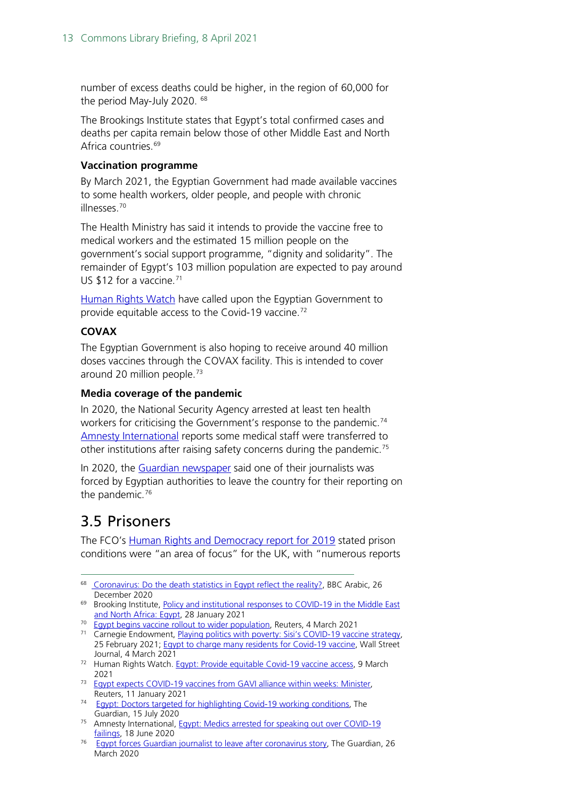number of excess deaths could be higher, in the region of 60,000 for the period May-July 2020. [68](#page-12-1)

The Brookings Institute states that Egypt's total confirmed cases and deaths per capita remain below those of other Middle East and North Africa countries.<sup>[69](#page-12-2)</sup>

#### **Vaccination programme**

By March 2021, the Egyptian Government had made available vaccines to some health workers, older people, and people with chronic illnesses. [70](#page-12-3)

The Health Ministry has said it intends to provide the vaccine free to medical workers and the estimated 15 million people on the government's social support programme, "dignity and solidarity". The remainder of Egypt's 103 million population are expected to pay around US \$12 for a vaccine.[71](#page-12-4)

[Human Rights Watch](https://www.hrw.org/news/2021/03/09/egypt-provide-equitable-covid-19-vaccine-access) have called upon the Egyptian Government to provide equitable access to the Covid-19 vaccine.<sup>[72](#page-12-5)</sup>

#### **COVAX**

The Egyptian Government is also hoping to receive around 40 million doses vaccines through the COVAX facility. This is intended to cover around 20 million people.<sup>[73](#page-12-6)</sup>

#### **Media coverage of the pandemic**

In 2020, the National Security Agency arrested at least ten health workers for criticising the Government's response to the pandemic.<sup>[74](#page-12-7)</sup> [Amnesty International](https://www.amnesty.org.uk/press-releases/egypt-medics-arrested-speaking-out-over-covid-19-failings) reports some medical staff were transferred to other institutions after raising safety concerns during the pandemic.[75](#page-12-8)

In 2020, the [Guardian newspaper](https://www.theguardian.com/world/2020/mar/26/egypt-forces-guardian-journalist-leave-coronavirus-story-ruth-michaelson#:%7E:text=Egyptian%20authorities%20have%20forced%20a,than%20have%20been%20officially%20confirmed.) said one of their journalists was forced by Egyptian authorities to leave the country for their reporting on the pandemic.<sup>[76](#page-12-9)</sup>

### <span id="page-12-0"></span>3.5 Prisoners

The FCO's [Human Rights and Democracy report for 2019](https://www.gov.uk/government/publications/human-rights-and-democracy-report-2019/human-rights-and-democracy-the-2019-foreign-and-commonwealth-office-report) stated prison conditions were "an area of focus" for the UK, with "numerous reports

- 
- <span id="page-12-4"></span><span id="page-12-3"></span>25 February 2021; [Egypt to charge many residents for Covid-19 vaccine,](https://www.wsj.com/articles/egypt-to-charge-many-residents-for-covid-19-vaccine-11614859201) Wall Street
- <span id="page-12-5"></span>Journal, 4 March 2021 72 Human Rights Watch. [Egypt: Provide equitable Covid-19 vaccine access,](https://www.hrw.org/news/2021/03/09/egypt-provide-equitable-covid-19-vaccine-access) 9 March
- <span id="page-12-6"></span>2021 2021 [Egypt expects COVID-19 vaccines from GAVI alliance within weeks: Minister,](https://www.reuters.com/article/health-coronavirus-egypt-int-idUSKBN29G20S)
- <span id="page-12-7"></span>Reuters, 11 January 2021<br>
<sup>74</sup> [Egypt: Doctors targeted for highlighting Covid-19 working conditions,](https://www.theguardian.com/world/2020/jul/15/egyptian-doctors-detained-for-highlighting-covid-19-working-conditions) The<br>
Guardian, 15 July 2020
- <span id="page-12-8"></span><sup>75</sup> Amnesty International, [Egypt: Medics arrested for speaking out over COVID-19](https://www.amnesty.org.uk/press-releases/egypt-medics-arrested-speaking-out-over-covid-19-failings) failings, 18 June 2020
- <span id="page-12-9"></span><sup>76</sup> [Egypt forces Guardian journalist to leave after coronavirus story,](https://www.theguardian.com/world/2020/mar/26/egypt-forces-guardian-journalist-leave-coronavirus-story-ruth-michaelson#:%7E:text=Egyptian%20authorities%20have%20forced%20a,than%20have%20been%20officially%20confirmed.) The Guardian, 26 March 2020

<span id="page-12-1"></span><sup>&</sup>lt;sup>68</sup> [Coronavirus: Do the death statistics in Egypt reflect the reality?,](https://www.bbc.com/arabic/middleeast-55447345) BBC Arabic, 26 December 2020

<span id="page-12-2"></span><sup>69</sup> Brooking Institute[, Policy and institutional responses to COVID-19 in the Middle East](https://www.brookings.edu/research/policy-and-institutional-responses-to-covid-19-in-the-middle-east-and-north-africa-egypt/)  [and North Africa: Egypt,](https://www.brookings.edu/research/policy-and-institutional-responses-to-covid-19-in-the-middle-east-and-north-africa-egypt/) 28 January 2021<br><sup>70</sup> [Egypt begins vaccine rollout to wider population,](https://www.reuters.com/article/uk-health-coronavirus-egypt-vaccine-idUSKCN2AW15U) Reuters, 4 March 2021<br><sup>71</sup> Carnegie Endowment, <u>Playing politics with poverty: Sisi's COVID-19 vaccine strategy</u>,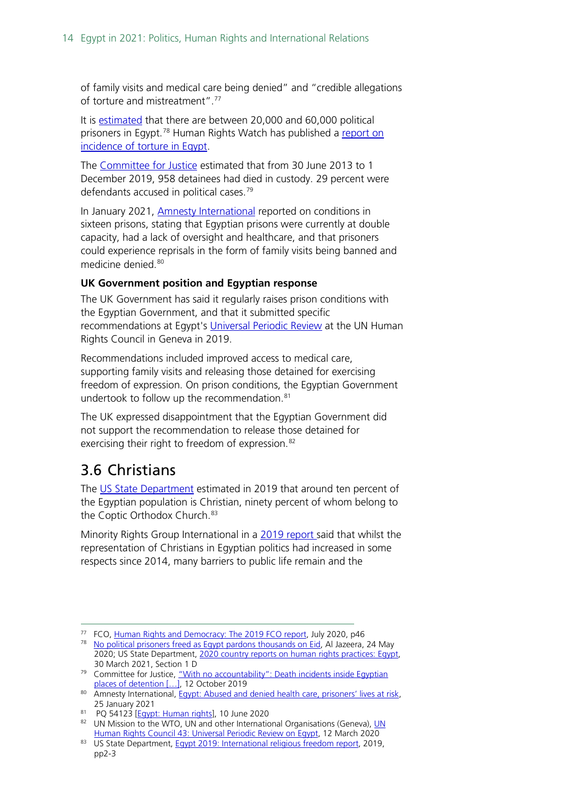of family visits and medical care being denied" and "credible allegations of torture and mistreatment".[77](#page-13-1)

It is [estimated](https://www.state.gov/reports/2020-country-reports-on-human-rights-practices/egypt/) that there are between 20,000 and 60,000 political prisoners in Egypt.<sup>[78](#page-13-2)</sup> Human Rights Watch has published a <u>report on</u> [incidence of torture in Egypt.](https://www.hrw.org/report/2020/03/23/no-one-cared-he-was-child/egyptian-security-forces-abuse-children-detention)

The [Committee for Justice](https://www.cfjustice.org/with-no-accountability/) estimated that from 30 June 2013 to 1 December 2019, 958 detainees had died in custody. 29 percent were defendants accused in political cases.<sup>[79](#page-13-3)</sup>

In January 2021, **Amnesty International reported on conditions in** sixteen prisons, stating that Egyptian prisons were currently at double capacity, had a lack of oversight and healthcare, and that prisoners could experience reprisals in the form of family visits being banned and medicine denied.<sup>[80](#page-13-4)</sup>

#### **UK Government position and Egyptian response**

The UK Government has said it regularly raises prison conditions with the Egyptian Government, and that it submitted specific recommendations at Egypt's [Universal Periodic Review](https://www.ohchr.org/EN/HRBodies/UPR/Pages/EGIndex.aspx) at the UN Human Rights Council in Geneva in 2019.

Recommendations included improved access to medical care, supporting family visits and releasing those detained for exercising freedom of expression. On prison conditions, the Egyptian Government undertook to follow up the recommendation.<sup>[81](#page-13-5)</sup>

The UK expressed disappointment that the Egyptian Government did not support the recommendation to release those detained for exercising their right to freedom of expression. [82](#page-13-6)

### <span id="page-13-0"></span>3.6 Christians

The [US State Department](https://www.state.gov/wp-content/uploads/2020/06/EGYPT-2019-INTERNATIONAL-RELIGIOUS-FREEDOM-REPORT.pdf) estimated in 2019 that around ten percent of the Egyptian population is Christian, ninety percent of whom belong to the Coptic Orthodox Church.<sup>83</sup>

Minority Rights Group International in a [2019 report s](https://minorityrights.org/wp-content/uploads/2019/01/MRG_Rep_Egypt_EN_Jan19.pdf)aid that whilst the representation of Christians in Egyptian politics had increased in some respects since 2014, many barriers to public life remain and the

<span id="page-13-1"></span><sup>&</sup>lt;sup>77</sup> FCO, [Human Rights and Democracy: The 2019 FCO report,](https://assets.publishing.service.gov.uk/government/uploads/system/uploads/attachment_data/file/902494/FCO1414_FCO_AHRR_2019_-_accessible.pdf) July 2020, p46

<span id="page-13-2"></span><sup>&</sup>lt;sup>78</sup> [No political prisoners freed as Egypt pardons thousands on Eid,](https://www.aljazeera.com/news/2020/5/24/no-political-prisoners-freed-as-egypt-pardons-thousands-on-eid) Al Jazeera, 24 May 2020; US State Department, [2020 country reports on human rights practices: Egypt,](https://www.state.gov/reports/2020-country-reports-on-human-rights-practices/egypt/) 30 March 2021, Section 1 D

<span id="page-13-3"></span><sup>&</sup>lt;sup>79</sup> Committee for Justice, "With no accountability": Death incidents inside Egyptian places of detention [...], 12 October 2019

<span id="page-13-4"></span><sup>80</sup> Amnesty International, [Egypt: Abused and denied health care, prisoners' lives at risk,](https://www.amnesty.org/en/latest/news/2021/01/egypt-abused-and-denied-heath-care-prisoners-lives-at-risk/?utm_source=TWITTER-IS&utm_medium=social&utm_content=4431925870&utm_campaign=Other&utm_term=News-No) 25 January 2021<br><sup>81</sup> PQ 54123 [\[Egypt: Human rights\]](https://questions-statements.parliament.uk/written-questions/detail/2020-06-03/54123), 10 June 2020

<span id="page-13-6"></span><span id="page-13-5"></span><sup>82</sup> [UN](https://www.gov.uk/government/news/un-human-rights-council-43-universal-periodic-review-on-egypt) Mission to the WTO, UN and other International Organisations (Geneva), UN [Human Rights Council 43: Universal Periodic Review on Egypt,](https://www.gov.uk/government/news/un-human-rights-council-43-universal-periodic-review-on-egypt) 12 March 2020

<span id="page-13-7"></span><sup>83</sup> US State Department[, Egypt 2019: International religious freedom report,](https://www.state.gov/wp-content/uploads/2020/06/EGYPT-2019-INTERNATIONAL-RELIGIOUS-FREEDOM-REPORT.pdf) 2019, pp2-3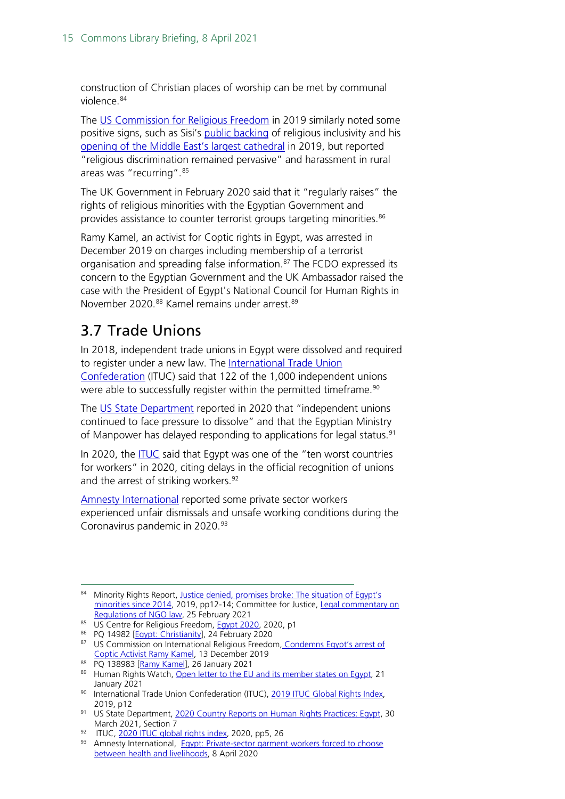construction of Christian places of worship can be met by communal violence[.84](#page-14-1)

The [US Commission](https://www.uscirf.gov/sites/default/files/Egypt.pdf) for Religious Freedom in 2019 similarly noted some positive signs, such as Sisi's [public backing](https://www.egypttoday.com/Article/1/71141/Al-Azhar-Sheikh-western-media-doesn-t-dare-accuse-Christianity#:%7E:text=In%20his%20speech%20at%20the,by%20its%20believers) of religious inclusivity and his opening of [the Middle East's largest cathedral](https://www.bbc.co.uk/news/world-middle-east-46775842) in 2019, but reported "religious discrimination remained pervasive" and harassment in rural areas was "recurring".[85](#page-14-2)

The UK Government in February 2020 said that it "regularly raises" the rights of religious minorities with the Egyptian Government and provides assistance to counter terrorist groups targeting minorities.<sup>[86](#page-14-3)</sup>

Ramy Kamel, an activist for Coptic rights in Egypt, was arrested in December 2019 on charges including membership of a terrorist organisation and spreading false information.<sup>[87](#page-14-4)</sup> The FCDO expressed its concern to the Egyptian Government and the UK Ambassador raised the case with the President of Egypt's National Council for Human Rights in November 2020.<sup>[88](#page-14-5)</sup> Kamel remains under arrest.<sup>[89](#page-14-6)</sup>

### <span id="page-14-0"></span>3.7 Trade Unions

In 2018, independent trade unions in Egypt were dissolved and required to register under a new law. The [International Trade Union](https://www.ituc-csi.org/IMG/pdf/2019-06-ituc-global-rights-index-2019-report-en-2.pdf)  [Confederation](https://www.ituc-csi.org/IMG/pdf/2019-06-ituc-global-rights-index-2019-report-en-2.pdf) (ITUC) said that 122 of the 1,000 independent unions were able to successfully register within the permitted timeframe.<sup>[90](#page-14-7)</sup>

The [US State Department](https://www.state.gov/reports/2020-country-reports-on-human-rights-practices/egypt/) reported in 2020 that "independent unions continued to face pressure to dissolve" and that the Egyptian Ministry of Manpower has delayed responding to applications for legal status.<sup>[91](#page-14-8)</sup>

In 2020, the [ITUC](https://www.ituc-csi.org/IMG/pdf/ituc_globalrightsindex_2020_en.pdf) said that Egypt was one of the "ten worst countries for workers" in 2020, citing delays in the official recognition of unions and the arrest of striking workers.<sup>92</sup>

[Amnesty International](https://www.amnesty.org/en/latest/news/2020/04/egypt-private-sector-garment-workers-forced-to-choose-between-health-and-livelihoods/) reported some private sector workers experienced unfair dismissals and unsafe working conditions during the Coronavirus pandemic in 2020.<sup>[93](#page-14-10)</sup>

<span id="page-14-1"></span><sup>84</sup> Minority Rights Report, Justice denied, promises broke: The situation of Egypt's [minorities since 2014,](https://minorityrights.org/wp-content/uploads/2019/01/MRG_Rep_Egypt_EN_Jan19.pdf) 2019, pp12-14; Committee for Justice, [Legal commentary on](https://www.cfjustice.org/egypt-implementing-regulations-of-ngo-law-intended-to-cripple-civil-society/)  [Regulations of NGO law,](https://www.cfjustice.org/egypt-implementing-regulations-of-ngo-law-intended-to-cripple-civil-society/) 25 February 2021

<span id="page-14-2"></span><sup>85</sup> US Centre for Religious Freedom[, Egypt 2020,](https://www.uscirf.gov/sites/default/files/Egypt.pdf) 2020, p1

<span id="page-14-3"></span><sup>86</sup> PQ 14982 [\[Egypt: Christianity\]](https://questions-statements.parliament.uk/written-questions/detail/2020-02-11/14982), 24 February 2020

<span id="page-14-4"></span><sup>87</sup> US Commission on International Religious Freedom, Condemns Egypt's arrest of [Coptic Activist](https://www.uscirf.gov/news-room/releases-statements/uscirf-condemns-egypts-arrest-coptic-activist-ramy-kamel) Ramy Kamel, 13 December 2019<br><sup>88</sup> PQ 138983 [Ramy Kamel], 26 January 2021

<span id="page-14-6"></span><span id="page-14-5"></span><sup>89</sup> Human Rights Watch, [Open letter to the EU and its member states on Egypt,](https://www.hrw.org/news/2021/01/21/open-letter-european-union-and-its-member-states-egypt) 21 January 2021<br><sup>90</sup> International Trade Union Confederation (ITUC)[, 2019 ITUC Global Rights Index,](https://www.ituc-csi.org/IMG/pdf/2019-06-ituc-global-rights-index-2019-report-en-2.pdf)

<span id="page-14-8"></span><span id="page-14-7"></span><sup>2019,</sup> p12<br><sup>91</sup> US State Department[, 2020 Country Reports on Human Rights Practices: Egypt,](https://www.state.gov/reports/2020-country-reports-on-human-rights-practices/egypt/) 30 March 2021, Section 7

<span id="page-14-9"></span><sup>92</sup> ITUC[, 2020 ITUC global rights index,](https://www.ituc-csi.org/IMG/pdf/ituc_globalrightsindex_2020_en.pdf) 2020, pp5, 26

<span id="page-14-10"></span><sup>93</sup> Amnesty International, Egypt: Private-sector garment workers forced to choose [between health and livelihoods,](https://www.amnesty.org/en/latest/news/2020/04/egypt-private-sector-garment-workers-forced-to-choose-between-health-and-livelihoods/) 8 April 2020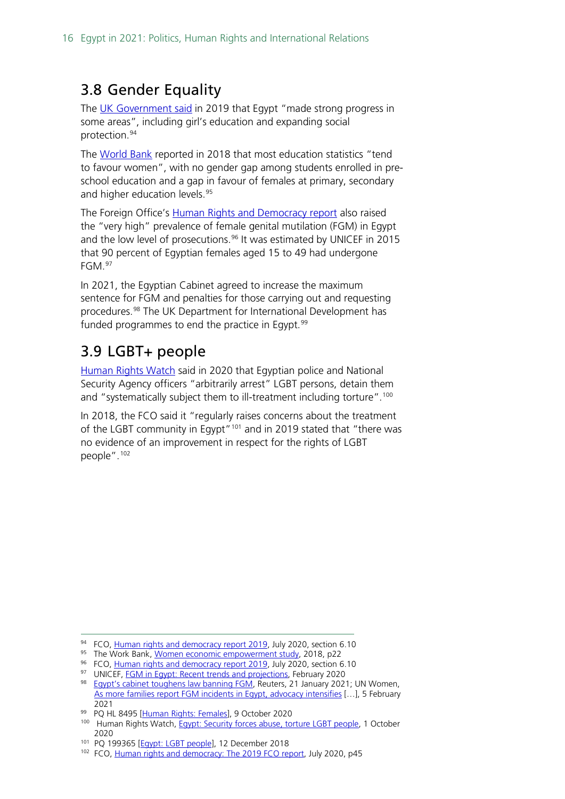### <span id="page-15-0"></span>3.8 Gender Equality

The [UK Government said](https://www.gov.uk/government/publications/human-rights-and-democracy-report-2019/human-rights-and-democracy-the-2019-foreign-and-commonwealth-office-report) in 2019 that Egypt "made strong progress in some areas", including girl's education and expanding social protection.[94](#page-15-2)

The [World Bank](http://documents1.worldbank.org/curated/en/861491551113547855/pdf/134846-WP-PUBLIC-march-2-WB-Women-Study-EN.pdf) reported in 2018 that most education statistics "tend to favour women", with no gender gap among students enrolled in preschool education and a gap in favour of females at primary, secondary and higher education levels.<sup>[95](#page-15-3)</sup>

The Foreign Office's [Human Rights and Democracy report](https://www.gov.uk/government/publications/human-rights-and-democracy-report-2019/human-rights-and-democracy-the-2019-foreign-and-commonwealth-office-report) also raised the "very high" prevalence of female genital mutilation (FGM) in Egypt and the low level of prosecutions.<sup>[96](#page-15-4)</sup> It was estimated by UNICEF in 2015 that 90 percent of Egyptian females aged 15 to 49 had undergone FGM.[97](#page-15-5)

In 2021, the Egyptian Cabinet agreed to increase the maximum sentence for FGM and penalties for those carrying out and requesting procedures.[98](#page-15-6) The UK Department for International Development has funded programmes to end the practice in Egypt.<sup>[99](#page-15-7)</sup>

### <span id="page-15-1"></span>3.9 LGBT+ people

[Human Rights Watch](https://www.hrw.org/news/2020/10/01/egypt-security-forces-abuse-torture-lgbt-people) said in 2020 that Egyptian police and National Security Agency officers "arbitrarily arrest" LGBT persons, detain them and "systematically subject them to ill-treatment including torture".<sup>[100](#page-15-8)</sup>

In 2018, the FCO said it "regularly raises concerns about the treatment of the LGBT community in Egypt"<sup>[101](#page-15-9)</sup> and in 2019 stated that "there was no evidence of an improvement in respect for the rights of LGBT people".[102](#page-15-10)

<span id="page-15-3"></span>95 The Work Bank[, Women economic empowerment study,](http://documents1.worldbank.org/curated/en/861491551113547855/pdf/134846-WP-PUBLIC-march-2-WB-Women-Study-EN.pdf) 2018, p22

<span id="page-15-2"></span><sup>&</sup>lt;sup>94</sup> FCO, [Human rights and democracy report 2019,](https://www.gov.uk/government/publications/human-rights-and-democracy-report-2019/human-rights-and-democracy-the-2019-foreign-and-commonwealth-office-report) July 2020, section 6.10

<span id="page-15-4"></span><sup>&</sup>lt;sup>96</sup> FCO, [Human rights and democracy report 2019,](https://www.gov.uk/government/publications/human-rights-and-democracy-report-2019/human-rights-and-democracy-the-2019-foreign-and-commonwealth-office-report) July 2020, section 6.10

<span id="page-15-5"></span><sup>97</sup> UNICEF, [FGM in Egypt: Recent trends and projections,](https://data.unicef.org/resources/female-genital-mutilation-in-egypt-recent-trends-and-projections/) February 2020

<span id="page-15-6"></span><sup>98</sup> Eqypt's cabinet toughens law banning FGM, Reuters, 21 January 2021; UN Women, [As more families report FGM incidents in Egypt, advocacy intensifies](https://www.unwomen.org/en/news/stories/2021/2/feature--families-report-fgm-in-egypt-and-advocacy-intensifies) […], 5 February

<span id="page-15-8"></span><span id="page-15-7"></span>

<sup>2021&</sup>lt;br><sup>99</sup> PQ HL 8495 [<u>Human Rights: Females</u>], 9 October 2020<br><sup>100</sup> Human Rights Watch, <u>Egypt: Security forces abuse, torture LGBT people</u>, 1 October 2020

<span id="page-15-9"></span><sup>101</sup> PQ 199365 [Eqypt: LGBT people], 12 December 2018

<span id="page-15-10"></span><sup>102</sup> FCO[, Human rights and democracy: The 2019 FCO report,](https://assets.publishing.service.gov.uk/government/uploads/system/uploads/attachment_data/file/902494/FCO1414_FCO_AHRR_2019_-_accessible.pdf) July 2020, p45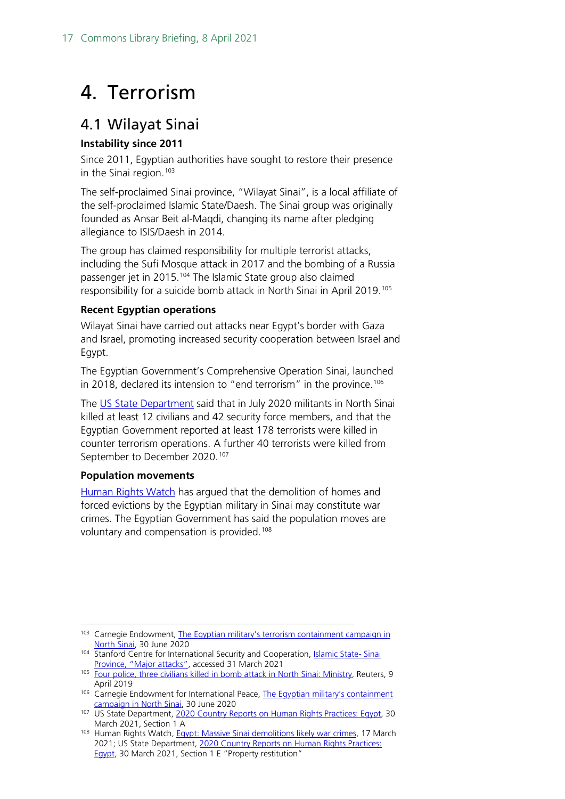## <span id="page-16-0"></span>4. Terrorism

### <span id="page-16-1"></span>4.1 Wilayat Sinai

### **Instability since 2011**

Since 2011, Egyptian authorities have sought to restore their presence in the Sinai region. $103$ 

The self-proclaimed Sinai province, "Wilayat Sinai", is a local affiliate of the self-proclaimed Islamic State/Daesh. The Sinai group was originally founded as Ansar Beit al-Maqdi, changing its name after pledging allegiance to ISIS/Daesh in 2014.

The group has claimed responsibility for multiple terrorist attacks, including the Sufi Mosque attack in 2017 and the bombing of a Russia passenger jet in 2015.<sup>104</sup> The Islamic State group also claimed responsibility for a suicide bomb attack in North Sinai in April 2019.<sup>[105](#page-16-4)</sup>

#### **Recent Egyptian operations**

Wilayat Sinai have carried out attacks near Egypt's border with Gaza and Israel, promoting increased security cooperation between Israel and Egypt.

The Egyptian Government's Comprehensive Operation Sinai, launched in 2018, declared its intension to "end terrorism" in the province.<sup>[106](#page-16-5)</sup>

The [US State Department](https://www.state.gov/reports/2020-country-reports-on-human-rights-practices/egypt/) said that in July 2020 militants in North Sinai killed at least 12 civilians and 42 security force members, and that the Egyptian Government reported at least 178 terrorists were killed in counter terrorism operations. A further 40 terrorists were killed from September to December 2020.<sup>[107](#page-16-6)</sup>

#### **Population movements**

[Human Rights Watch](https://www.hrw.org/news/2021/03/17/egypt-massive-sinai-demolitions-likely-war-crimes) has argued that the demolition of homes and forced evictions by the Egyptian military in Sinai may constitute war crimes. The Egyptian Government has said the population moves are voluntary and compensation is provided.<sup>[108](#page-16-7)</sup>

<span id="page-16-2"></span><sup>&</sup>lt;sup>103</sup> Carnegie Endowment, The Egyptian [military's terrorism containment](https://carnegieendowment.org/sada/82218) campaign in

<span id="page-16-3"></span>[North Sinai,](https://carnegieendowment.org/sada/82218) 30 June 2020<br>104 Stanford Centre for International Security and Cooperation[, Islamic State-](https://cisac.fsi.stanford.edu/mappingmilitants/profiles/islamic-state-sinai-province#text_block_12265) Sinai<br>104 Province, "Major attacks", accessed 31 March 2021

<span id="page-16-4"></span><sup>105</sup> [Four police, three civilians killed in bomb attack in North Sinai: Ministry,](https://www.reuters.com/article/us-egypt-security-idUSKCN1RL1Q8) Reuters, 9 April 2019

<span id="page-16-5"></span><sup>&</sup>lt;sup>106</sup> Carnegie Endowment for International Peace, The Egyptian military's containment [campaign in North Sinai,](https://carnegieendowment.org/sada/82218) 30 June 2020

<span id="page-16-6"></span><sup>107</sup> US State Department[, 2020 Country Reports on Human Rights Practices: Egypt,](https://www.state.gov/reports/2020-country-reports-on-human-rights-practices/egypt/) 30 March 2021, Section 1 A

<span id="page-16-7"></span><sup>108</sup> Human Rights Watch[, Egypt: Massive Sinai demolitions likely war crimes,](https://www.hrw.org/news/2021/03/17/egypt-massive-sinai-demolitions-likely-war-crimes) 17 March 2021; US State Department, [2020 Country Reports on Human Rights Practices:](https://www.state.gov/reports/2020-country-reports-on-human-rights-practices/egypt/)  [Egypt,](https://www.state.gov/reports/2020-country-reports-on-human-rights-practices/egypt/) 30 March 2021, Section 1 E "Property restitution"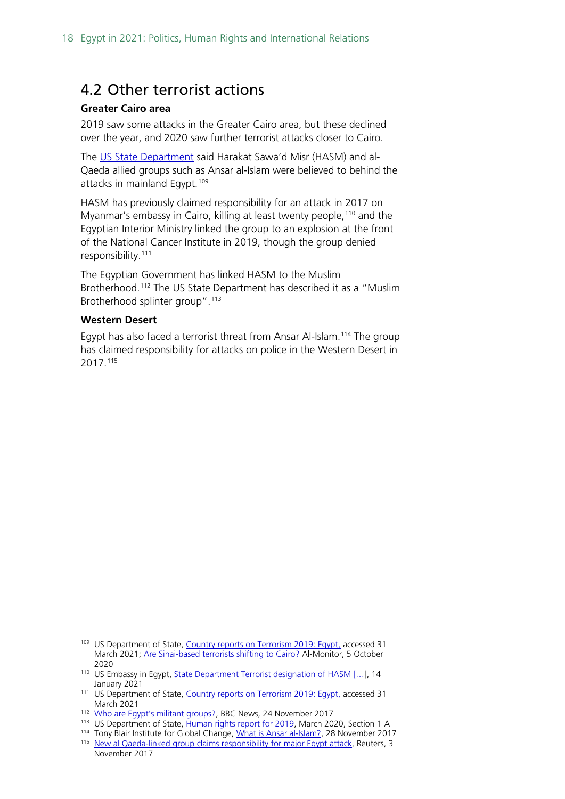### <span id="page-17-0"></span>4.2 Other terrorist actions

#### **Greater Cairo area**

2019 saw some attacks in the Greater Cairo area, but these declined over the year, and 2020 saw further terrorist attacks closer to Cairo.

The [US State Department](https://www.state.gov/reports/country-reports-on-terrorism-2019/egypt/) said Harakat Sawa'd Misr (HASM) and al-Qaeda allied groups such as Ansar al-Islam were believed to behind the attacks in mainland Egypt.<sup>[109](#page-17-1)</sup>

HASM has previously claimed responsibility for an attack in 2017 on Myanmar's embassy in Cairo, killing at least twenty people,<sup>[110](#page-17-2)</sup> and the Egyptian Interior Ministry linked the group to an explosion at the front of the National Cancer Institute in 2019, though the group denied responsibility.[111](#page-17-3)

The Egyptian Government has linked HASM to the Muslim Brotherhood. [112](#page-17-4) The US State Department has described it as a "Muslim Brotherhood splinter group".<sup>[113](#page-17-5)</sup>

#### **Western Desert**

Egypt has also faced a terrorist threat from Ansar Al-Islam.[114](#page-17-6) The group has claimed responsibility for attacks on police in the Western Desert in 2017. [115](#page-17-7)

<span id="page-17-1"></span><sup>&</sup>lt;sup>109</sup> US Department of State[, Country reports on Terrorism 2019: Egypt,](https://www.state.gov/reports/country-reports-on-terrorism-2019/egypt/) accessed 31 March 2021; [Are Sinai-based terrorists shifting to Cairo?](https://www.al-monitor.com/originals/2020/10/egypt-military-operation-terrorism-sinai-cairo.html) Al-Monitor, 5 October 2020

<sup>110</sup> US Embassy in Egypt, State Department Terrorist designation of HASM [...], 14

<span id="page-17-3"></span><span id="page-17-2"></span>January 2021<br><sup>111</sup> US Department of State[, Country reports on Terrorism 2019: Egypt,](https://www.state.gov/reports/country-reports-on-terrorism-2019/egypt/) accessed 31 March 2021

<span id="page-17-4"></span><sup>112</sup> Who are Eqypt's militant groups?, BBC News, 24 November 2017

<span id="page-17-5"></span><sup>113</sup> US Department of State[, Human rights report for 2019,](https://www.state.gov/reports/2019-country-reports-on-human-rights-practices/egypt/) March 2020, Section 1 A

<sup>&</sup>lt;sup>114</sup> Tony Blair Institute for Global Change[, What is Ansar al-Islam?,](https://institute.global/policy/what-ansar-al-islam) 28 November 2017

<span id="page-17-7"></span><span id="page-17-6"></span><sup>&</sup>lt;sup>115</sup> [New al Qaeda-linked group claims responsibility for major Egypt attack,](https://www.reuters.com/article/us-egypt-security-idUSKBN1D30K0) Reuters, 3 November 2017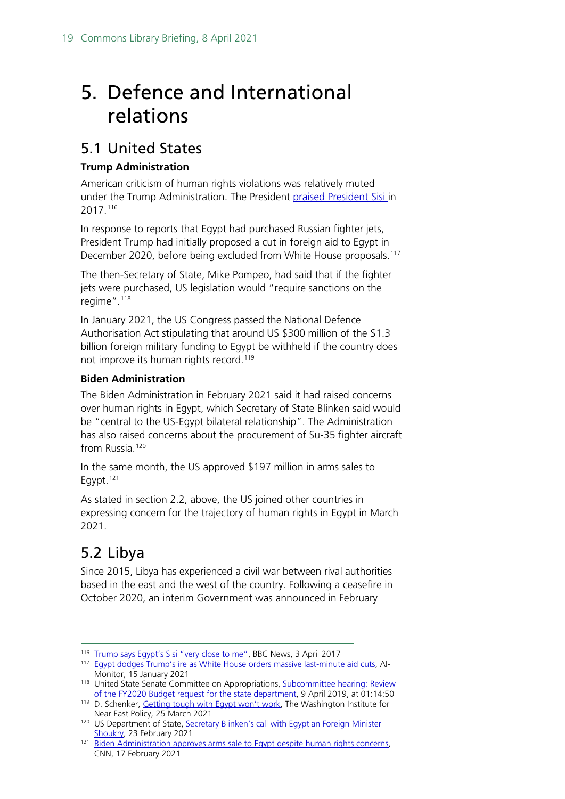## <span id="page-18-0"></span>5. Defence and International relations

### <span id="page-18-1"></span>5.1 United States

### **Trump Administration**

American criticism of human rights violations was relatively muted under the Trump Administration. The President [praised President Sisi i](https://www.bbc.co.uk/news/av/world-us-canada-39486267)n 2017.[116](#page-18-3)

In response to reports that Egypt had purchased Russian fighter jets, President Trump had initially proposed a cut in foreign aid to Egypt in December 2020, before being excluded from White House proposals.<sup>117</sup>

The then-Secretary of State, Mike Pompeo, had said that if the fighter jets were purchased, US legislation would "require sanctions on the regime".[118](#page-18-5)

In January 2021, the US Congress passed the National Defence Authorisation Act stipulating that around US \$300 million of the \$1.3 billion foreign military funding to Egypt be withheld if the country does not improve its human rights record.<sup>119</sup>

### **Biden Administration**

The Biden Administration in February 2021 said it had raised concerns over human rights in Egypt, which Secretary of State Blinken said would be "central to the US-Egypt bilateral relationship". The Administration has also raised concerns about the procurement of Su-35 fighter aircraft from Russia.<sup>[120](#page-18-7)</sup>

In the same month, the US approved \$197 million in arms sales to Eqypt. $121$ 

As stated in section 2.2, above, the US joined other countries in expressing concern for the trajectory of human rights in Egypt in March 2021.

### <span id="page-18-2"></span>5.2 Libya

Since 2015, Libya has experienced a civil war between rival authorities based in the east and the west of the country. Following a ceasefire in October 2020, an interim Government was announced in February

<span id="page-18-3"></span><sup>&</sup>lt;sup>116</sup> [Trump says Egypt's Sisi "very close to me",](https://www.bbc.co.uk/news/av/world-us-canada-39486267) BBC News, 3 April 2017

<sup>&</sup>lt;sup>117</sup> [Egypt dodges Trump's ire as White House orders massive last-minute aid cuts,](https://www.al-monitor.com/originals/2021/01/trump-egypt-aid-cut-military.html) Al-

<span id="page-18-5"></span><span id="page-18-4"></span>Monitor, 15 January 2021 118 United State Senate Committee on Appropriations, Subcommittee hearing: Review [of the FY2020 Budget request for the state department,](https://www.appropriations.senate.gov/hearings/review-of-the-fy2020-budget-request-for-the-state-department) 9 April 2019, at 01:14:50

<span id="page-18-6"></span><sup>&</sup>lt;sup>119</sup> D. Schenker, *Getting tough with Egypt won't work*, The Washington Institute for Near East Policy, 25 March 2021

<span id="page-18-7"></span><sup>120</sup> US Department of State, Secretary Blinken's call with Egyptian Foreign Minister

<span id="page-18-8"></span>[Shoukry,](https://www.state.gov/secretary-blinkens-call-with-egyptian-foreign-minister-shoukry/) 23 February 2021<br><sup>121</sup> [Biden Administration approves arms sale to Egypt despite human rights concerns,](https://edition.cnn.com/2021/02/16/politics/egypt-missile-sale/index.html) CNN, 17 February 2021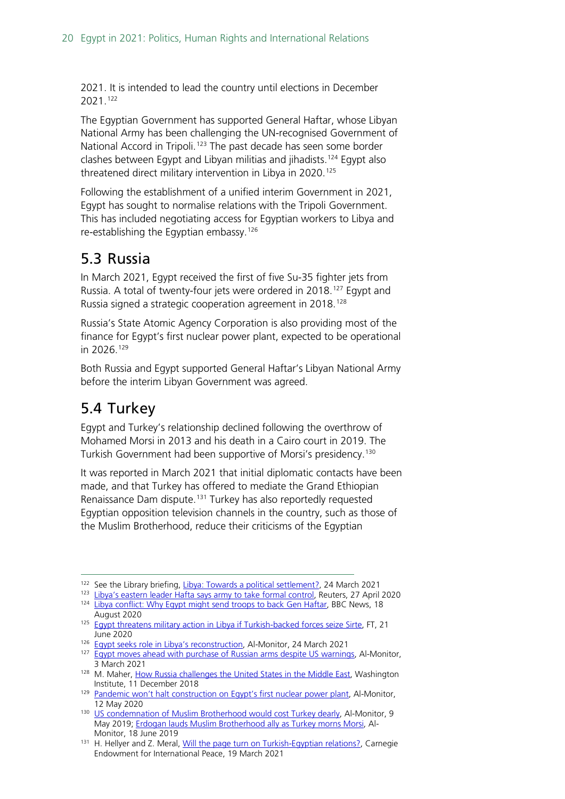2021. It is intended to lead the country until elections in December 2021.[122](#page-19-2)

The Egyptian Government has supported General Haftar, whose Libyan National Army has been challenging the UN-recognised Government of National Accord in Tripoli.<sup>[123](#page-19-3)</sup> The past decade has seen some border clashes between Egypt and Libyan militias and jihadists. [124](#page-19-4) Egypt also threatened direct military intervention in Libya in 2020. [125](#page-19-5)

Following the establishment of a unified interim Government in 2021, Egypt has sought to normalise relations with the Tripoli Government. This has included negotiating access for Egyptian workers to Libya and re-establishing the Egyptian embassy.[126](#page-19-6)

### <span id="page-19-0"></span>5.3 Russia

In March 2021, Egypt received the first of five Su-35 fighter jets from Russia. A total of twenty-four jets were ordered in 2018.<sup>[127](#page-19-7)</sup> Egypt and Russia signed a strategic cooperation agreement in 2018.[128](#page-19-8)

Russia's State Atomic Agency Corporation is also providing most of the finance for Egypt's first nuclear power plant, expected to be operational in 2026.[129](#page-19-9)

Both Russia and Egypt supported General Haftar's Libyan National Army before the interim Libyan Government was agreed.

### <span id="page-19-1"></span>5.4 Turkey

Egypt and Turkey's relationship declined following the overthrow of Mohamed Morsi in 2013 and his death in a Cairo court in 2019. The Turkish Government had been supportive of Morsi's presidency. [130](#page-19-10)

It was reported in March 2021 that initial diplomatic contacts have been made, and that Turkey has offered to mediate the Grand Ethiopian Renaissance Dam dispute.<sup>[131](#page-19-11)</sup> Turkey has also reportedly requested Egyptian opposition television channels in the country, such as those of the Muslim Brotherhood, reduce their criticisms of the Egyptian

<span id="page-19-3"></span><span id="page-19-2"></span><sup>&</sup>lt;sup>122</sup> See the Library briefing[, Libya: Towards a political settlement?,](https://commonslibrary.parliament.uk/research-briefings/cbp-9173/) 24 March 2021<br><sup>123</sup> [Libya's eastern leader Hafta says army to take formal control,](https://www.reuters.com/article/us-libya-security-idUSKCN2292RQ) Reuters, 27 April 2020

<sup>124</sup> [Libya conflict: Why Egypt might send troops to back Gen Haftar,](https://www.bbc.co.uk/news/world-africa-53779425) BBC News, 18

<span id="page-19-4"></span>August 2020 125 [Egypt threatens military action in Libya if Turkish-backed forces seize Sirte,](https://www.ft.com/content/e6aa87b0-5e0b-477f-9b89-693f31c63919) FT, 21

<span id="page-19-5"></span>June 2020<br><sup>126</sup> Eavpt seeks role in Libya's reconstruction, Al-Monitor, 24 March 2021

<span id="page-19-7"></span><span id="page-19-6"></span><sup>&</sup>lt;sup>127</sup> [Egypt moves ahead with purchase of Russian arms despite US warnings,](https://www.al-monitor.com/originals/2021/03/egypt-us-tension-sanctions-russia-arms-deal.html) Al-Monitor, 3 March 2021

<span id="page-19-8"></span><sup>128</sup> M. Maher[, How Russia challenges the United States in the Middle East,](https://www.washingtoninstitute.org/policy-analysis/how-russia-challenges-united-states-investment-egypt) Washington Institute, 11 December 2018

<span id="page-19-9"></span><sup>&</sup>lt;sup>129</sup> [Pandemic won't halt construction on Egypt's first nuclear power plant,](https://www.al-monitor.com/originals/2020/05/egypt-nuclear-power-plant-russia-work-coronavirus.html) Al-Monitor,

<span id="page-19-10"></span><sup>12</sup> May 2020<br><sup>130</sup> [US condemnation of Muslim Brotherhood would cost Turkey dearly,](https://www.al-monitor.com/originals/2019/05/turkey-can-erdogan-give-up-on-muslim-brotherhood.html) Al-Monitor, 9 May 2019; [Erdogan lauds Muslim Brotherhood ally as Turkey morns Morsi,](https://www.al-monitor.com/originals/2019/06/erdogan-speaks-morsi-death.html) Al-Monitor, 18 June 2019

<span id="page-19-11"></span><sup>&</sup>lt;sup>131</sup> H. Hellyer and Z. Meral[, Will the page turn on Turkish-Egyptian relations?,](https://carnegieendowment.org/2021/03/19/will-page-turn-on-turkish-egyptian-relations-pub-84124) Carnegie Endowment for International Peace, 19 March 2021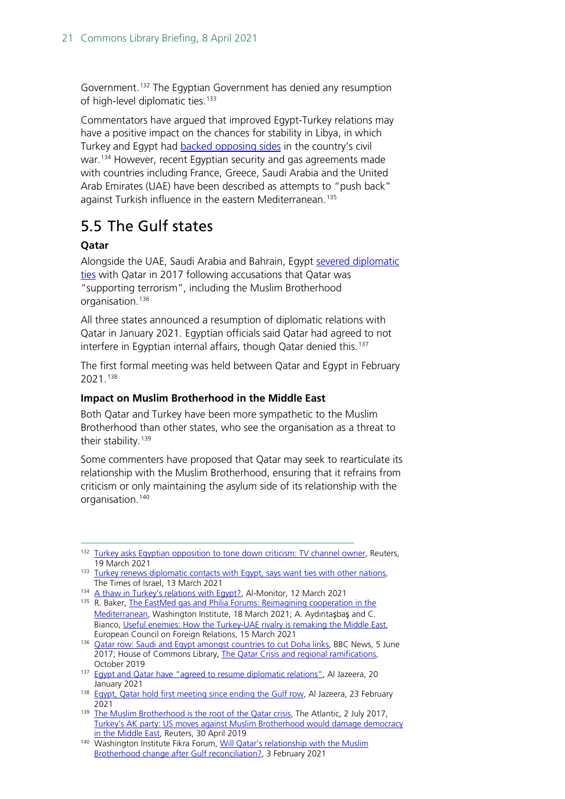Government.<sup>[132](#page-20-1)</sup> The Egyptian Government has denied any resumption of high-level diplomatic ties.<sup>[133](#page-20-2)</sup>

Commentators have argued that improved Egypt-Turkey relations may have a positive impact on the chances for stability in Libya, in which Turkey and Egypt had [backed opposing sides](https://www.bbc.co.uk/news/world-africa-53779425) in the country's civil war.<sup>[134](#page-20-3)</sup> However, recent Egyptian security and gas agreements made with countries including France, Greece, Saudi Arabia and the United Arab Emirates (UAE) have been described as attempts to "push back" against Turkish influence in the eastern Mediterranean.<sup>[135](#page-20-4)</sup>

### <span id="page-20-0"></span>5.5 The Gulf states

### **Qatar**

Alongside the UAE, Saudi Arabia and Bahrain, Egypt [severed diplomatic](https://commonslibrary.parliament.uk/research-briefings/cbp-8690/) [ties](https://commonslibrary.parliament.uk/research-briefings/cbp-8690/) with Qatar in 2017 following accusations that Qatar was "supporting terrorism", including the Muslim Brotherhood organisation. [136](#page-20-5)

All three states announced a resumption of diplomatic relations with Qatar in January 2021. Egyptian officials said Qatar had agreed to not interfere in Egyptian internal affairs, though Qatar denied this.<sup>[137](#page-20-6)</sup>

The first formal meeting was held between Qatar and Egypt in February 2021.[138](#page-20-7)

#### **Impact on Muslim Brotherhood in the Middle East**

Both Qatar and Turkey have been more sympathetic to the Muslim Brotherhood than other states, who see the organisation as a threat to their stability.<sup>[139](#page-20-8)</sup>

Some commenters have proposed that Qatar may seek to rearticulate its relationship with the Muslim Brotherhood, ensuring that it refrains from criticism or only maintaining the asylum side of its relationship with the organisation. [140](#page-20-9)

- <span id="page-20-3"></span>134 [A thaw in Turkey's relations with Egypt?,](https://www.al-monitor.com/originals/2021/03/thaw-turkey-relations-egypt-ankara-reset-cairo.html) Al-Monitor, 12 March 2021
- <span id="page-20-4"></span>135 R. Baker[, The EastMed gas and Philia Forums: Reimagining](https://www.washingtoninstitute.org/policy-analysis/eastmed-gas-and-philia-forums-reimagining-cooperation-mediterranean) cooperation in the [Mediterranean,](https://www.washingtoninstitute.org/policy-analysis/eastmed-gas-and-philia-forums-reimagining-cooperation-mediterranean) Washington Institute, 18 March 2021; A. Aydıntaşbaş and C. Bianco, [Useful enemies: How the Turkey-UAE rivalry is remaking the Middle East,](https://ecfr.eu/publication/useful-enemies-how-the-turkey-uae-rivalry-is-remaking-the-middle-east/)
- <span id="page-20-5"></span>European Council on Foreign Relations, 15 March 2021<br><sup>136</sup> [Qatar row: Saudi and Egypt amongst countries to cut Doha links,](https://www.bbc.co.uk/news/world-middle-east-40155829) BBC News, 5 June 2017; House of Commons Library, The Qatar Crisis and regional ramifications, October 2019
- <span id="page-20-6"></span><sup>137</sup> [Egypt and Qatar have "agreed to resume diplomatic relations",](https://www.aljazeera.com/news/2021/1/20/egypt-and-qatar-agree-to-resume-diplomatic-relations) Al Jazeera, 20
- <span id="page-20-7"></span>January 2021<br><sup>138</sup> [Egypt, Qatar hold first meeting since ending the Gulf row,](https://www.aljazeera.com/news/2021/2/23/egypt-and-qatar-hold-first-meeting-since-accord-ending-gulf-row) Al Jazeera, 23 February
- <span id="page-20-8"></span>2021 2021 2021 139 The [Muslim Brotherhood is the root of the Qatar crisis,](https://www.theatlantic.com/international/archive/2017/07/muslim-brotherhood-qatar/532380/) The Atlantic, 2 July 2017, [Turkey's AK party: US moves against Muslim Brotherhood would damage democracy](https://www.reuters.com/article/us-usa-trump-muslimbrotherhood-turkey/turkeys-ak-party-us-move-against-muslim-brotherhood-would-damage-democracy-in-middle-east-idUSKCN1S62JX)  [in the Middle East,](https://www.reuters.com/article/us-usa-trump-muslimbrotherhood-turkey/turkeys-ak-party-us-move-against-muslim-brotherhood-would-damage-democracy-in-middle-east-idUSKCN1S62JX) Reuters, 30 April 2019

<span id="page-20-1"></span><sup>&</sup>lt;sup>132</sup> [Turkey asks Egyptian opposition to tone down criticism: TV channel owner,](https://www.reuters.com/article/us-turkey-egypt-idUSKBN2BB228) Reuters, 19 March 2021 133 [Turkey renews diplomatic contacts with Egypt, says want ties with other nations,](https://www.timesofisrael.com/turkey-renews-diplomatic-contacts-with-egypt-says-wants-ties-with-other-nations/)

<span id="page-20-2"></span>The Times of Israel, 13 March 2021

<span id="page-20-9"></span><sup>140</sup> Washington Institute Fikra Forum[, Will Qatar's relationship with the Muslim](https://www.washingtoninstitute.org/policy-analysis/will-qatars-relationship-muslim-brotherhood-change-after-gulf-reconciliation)  [Brotherhood change after Gulf reconciliation?,](https://www.washingtoninstitute.org/policy-analysis/will-qatars-relationship-muslim-brotherhood-change-after-gulf-reconciliation) 3 February 2021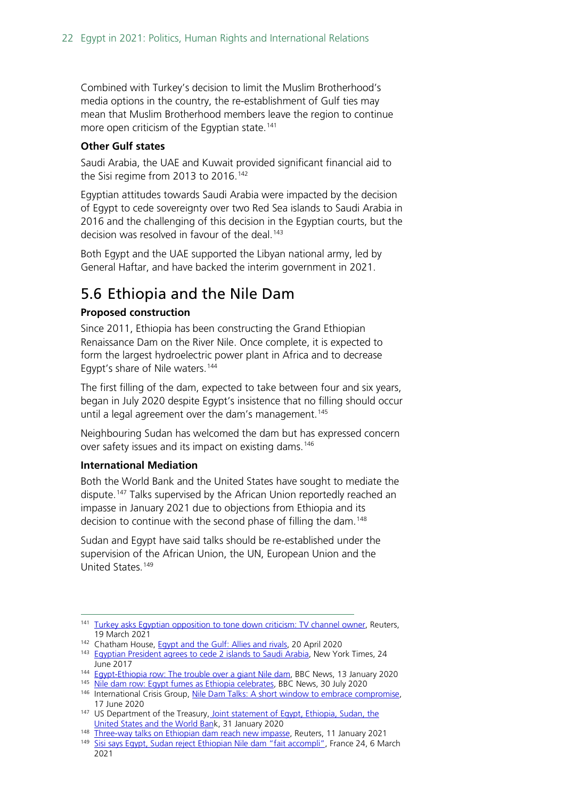Combined with Turkey's decision to limit the Muslim Brotherhood's media options in the country, the re-establishment of Gulf ties may mean that Muslim Brotherhood members leave the region to continue more open criticism of the Egyptian state.<sup>[141](#page-21-1)</sup>

#### **Other Gulf states**

Saudi Arabia, the UAE and Kuwait provided significant financial aid to the Sisi regime from 2013 to 2016. [142](#page-21-2)

Egyptian attitudes towards Saudi Arabia were impacted by the decision of Egypt to cede sovereignty over two Red Sea islands to Saudi Arabia in 2016 and the challenging of this decision in the Egyptian courts, but the decision was resolved in favour of the deal.<sup>[143](#page-21-3)</sup>

Both Egypt and the UAE supported the Libyan national army, led by General Haftar, and have backed the interim government in 2021.

### <span id="page-21-0"></span>5.6 Ethiopia and the Nile Dam

#### **Proposed construction**

Since 2011, Ethiopia has been constructing the Grand Ethiopian Renaissance Dam on the River Nile. Once complete, it is expected to form the largest hydroelectric power plant in Africa and to decrease Egypt's share of Nile waters.[144](#page-21-4)

The first filling of the dam, expected to take between four and six years, began in July 2020 despite Egypt's insistence that no filling should occur until a legal agreement over the dam's management.<sup>[145](#page-21-5)</sup>

Neighbouring Sudan has welcomed the dam but has expressed concern over safety issues and its impact on existing dams.<sup>[146](#page-21-6)</sup>

#### **International Mediation**

Both the World Bank and the United States have sought to mediate the dispute.<sup>[147](#page-21-7)</sup> Talks supervised by the African Union reportedly reached an impasse in January 2021 due to objections from Ethiopia and its decision to continue with the second phase of filling the dam.<sup>148</sup>

Sudan and Egypt have said talks should be re-established under the supervision of the African Union, the UN, European Union and the United States.<sup>[149](#page-21-9)</sup>

<span id="page-21-1"></span><sup>&</sup>lt;sup>141</sup> [Turkey asks Egyptian opposition to tone down criticism: TV channel owner,](https://www.reuters.com/article/us-turkey-egypt-idUSKBN2BB228) Reuters, 19 March 2021 142 Chatham House[, Egypt and the Gulf: Allies and rivals,](https://www.chathamhouse.org/2020/04/egypt-and-gulf) 20 April 2020

<span id="page-21-3"></span><span id="page-21-2"></span><sup>143</sup> [Egyptian President agrees to cede 2 islands to Saudi Arabia,](https://www.nytimes.com/2017/06/24/world/middleeast/egypt-abdel-fattah-el-sisi-tiran-sanafir.html) New York Times, 24 June 2017

<span id="page-21-5"></span><span id="page-21-4"></span><sup>&</sup>lt;sup>144</sup> Eqypt-Ethiopia row: The trouble over a giant Nile dam, BBC News, 13 January 2020

<sup>145</sup> [Nile dam row: Egypt fumes as Ethiopia celebrates,](https://www.bbc.co.uk/news/world-africa-53573154) BBC News, 30 July 2020

<span id="page-21-6"></span><sup>146</sup> International Crisis Group, Nile Dam [Talks: A short window to embrace compromise,](https://www.crisisgroup.org/africa/horn-africa/ethiopia/nile-dam-talks-short-window-embrace-compromise) 17 June 2020

<span id="page-21-7"></span><sup>&</sup>lt;sup>147</sup> US Department of the Treasury, Joint statement of Egypt, Ethiopia, Sudan, the [United States and the World Bank](https://home.treasury.gov/news/press-releases/sm891), 31 January 2020<br><sup>148</sup> Three-way talks on Ethiopian dam reach new impasse, Reuters, 11 January 2021

<span id="page-21-9"></span><span id="page-21-8"></span><sup>149</sup> Sisi says Eqypt, Sudan reject Ethiopian Nile dam "fait accompli", France 24, 6 March 2021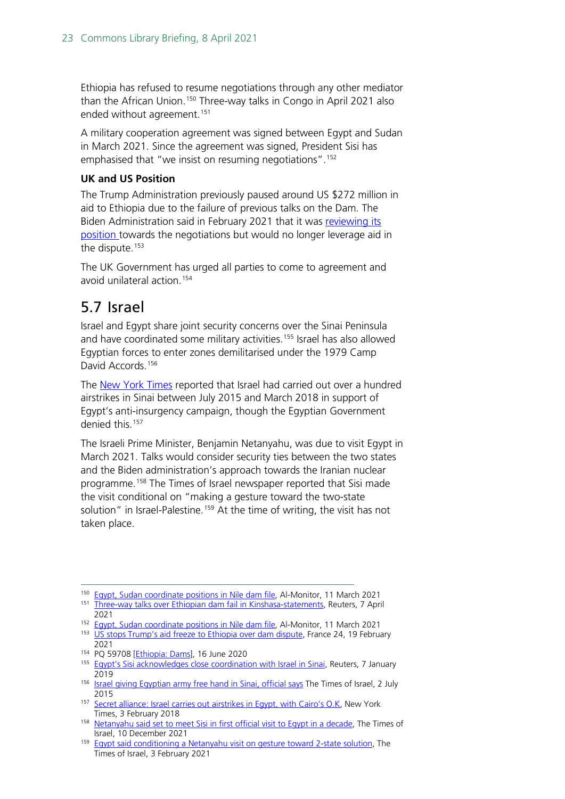Ethiopia has refused to resume negotiations through any other mediator than the African Union.<sup>[150](#page-22-1)</sup> Three-way talks in Congo in April 2021 also ended without agreement.<sup>151</sup>

A military cooperation agreement was signed between Egypt and Sudan in March 2021. Since the agreement was signed, President Sisi has emphasised that "we insist on resuming negotiations".[152](#page-22-3)

#### **UK and US Position**

The Trump Administration previously paused around US \$272 million in aid to Ethiopia due to the failure of previous talks on the Dam. The Biden Administration said in February 2021 that it was reviewing its [position t](https://www.state.gov/briefings/department-press-briefing-february-19-2021/)owards the negotiations but would no longer leverage aid in the dispute.<sup>[153](#page-22-4)</sup>

The UK Government has urged all parties to come to agreement and avoid unilateral action.[154](#page-22-5)

### <span id="page-22-0"></span>5.7 Israel

Israel and Egypt share joint security concerns over the Sinai Peninsula and have coordinated some military activities.<sup>[155](#page-22-6)</sup> Israel has also allowed Egyptian forces to enter zones demilitarised under the 1979 Camp David Accords.[156](#page-22-7)

The [New York Times](https://www.nytimes.com/2018/02/03/world/middleeast/israel-airstrikes-sinai-egypt.html) reported that Israel had carried out over a hundred airstrikes in Sinai between July 2015 and March 2018 in support of Egypt's anti-insurgency campaign, though the Egyptian Government denied this. [157](#page-22-8)

The Israeli Prime Minister, Benjamin Netanyahu, was due to visit Egypt in March 2021. Talks would consider security ties between the two states and the Biden administration's approach towards the Iranian nuclear programme.[158](#page-22-9) The Times of Israel newspaper reported that Sisi made the visit conditional on "making a gesture toward the two-state solution" in Israel-Palestine.<sup>[159](#page-22-10)</sup> At the time of writing, the visit has not taken place.

<span id="page-22-1"></span><sup>150</sup> [Egypt, Sudan coordinate positions in Nile dam file,](https://www.al-monitor.com/originals/2021/03/egypt-sudan-cooperation-military-ethiopia-nile-dam-talks.html) Al-Monitor, 11 March 2021

<span id="page-22-2"></span><sup>151</sup> [Three-way talks over Ethiopian dam fail in Kinshasa-statements,](https://www.reuters.com/article/ethiopia-dam-egypt-int-idUSKBN2BT1HU) Reuters, 7 April 2021

<sup>&</sup>lt;sup>152</sup> [Egypt, Sudan coordinate positions in Nile dam file,](https://www.al-monitor.com/originals/2021/03/egypt-sudan-cooperation-military-ethiopia-nile-dam-talks.html) Al-Monitor, 11 March 2021

<span id="page-22-4"></span><span id="page-22-3"></span><sup>&</sup>lt;sup>153</sup> [US stops Trump's aid freeze to Ethiopia over dam dispute,](https://www.france24.com/en/live-news/20210219-us-stops-trump-s-aid-freeze-to-ethiopia-over-dam-dispute) France 24, 19 February

<span id="page-22-5"></span><sup>2021&</sup>lt;br><sup>154</sup> PQ 59708 [*Ethiopia: Dams*], 16 June 2020

<span id="page-22-6"></span><sup>155</sup> Eqypt's Sisi acknowledges close coordination with Israel in Sinai, Reuters, 7 January 2019 2019 156 [Israel giving Egyptian army free hand in Sinai, official says](https://www.timesofisrael.com/israel-has-given-egyptian-army-free-hand-in-sinai-official-says/) The Times of Israel, 2 July

<span id="page-22-7"></span><sup>2015</sup>

<span id="page-22-8"></span><sup>157</sup> [Secret alliance: Israel carries out airstrikes in Egypt, with Cairo's O.K,](https://www.nytimes.com/2018/02/03/world/middleeast/israel-airstrikes-sinai-egypt.html) New York Times, 3 February 2018

<span id="page-22-9"></span><sup>&</sup>lt;sup>158</sup> Netanyahu [said set to meet Sisi in first official visit to Egypt in a decade,](https://www.timesofisrael.com/netanyahu-said-set-to-meet-sissi-in-first-official-visit-to-egypt-in-a-decade/) The Times of Israel, 10 December 2021

<span id="page-22-10"></span><sup>&</sup>lt;sup>159</sup> [Egypt said conditioning a Netanyahu visit on gesture toward 2-state solution,](https://www.timesofisrael.com/netanyahu-hoping-to-visit-egypt-before-elections-report/) The Times of Israel, 3 February 2021